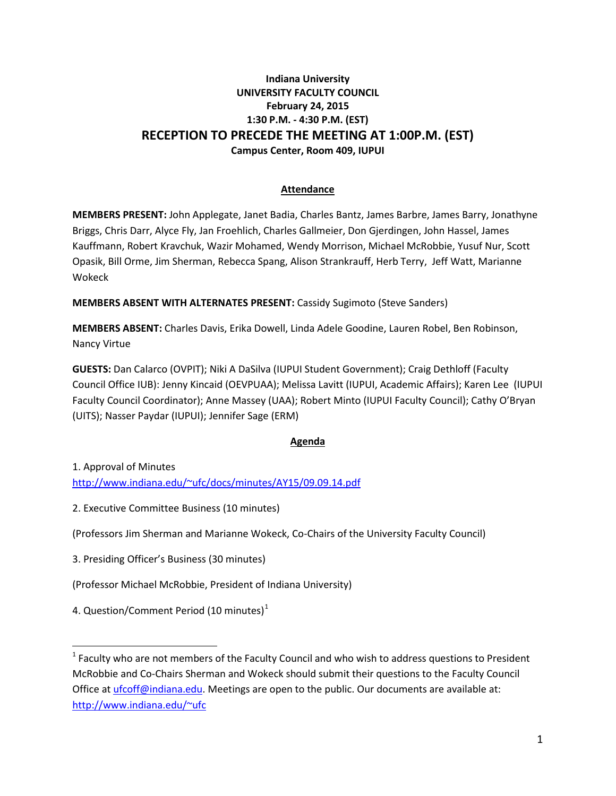### **Indiana University UNIVERSITY FACULTY COUNCIL February 24, 2015 1:30 P.M. - 4:30 P.M. (EST) RECEPTION TO PRECEDE THE MEETING AT 1:00P.M. (EST) Campus Center, Room 409, IUPUI**

### **Attendance**

**MEMBERS PRESENT:** John Applegate, Janet Badia, Charles Bantz, James Barbre, James Barry, Jonathyne Briggs, Chris Darr, Alyce Fly, Jan Froehlich, Charles Gallmeier, Don Gjerdingen, John Hassel, James Kauffmann, Robert Kravchuk, Wazir Mohamed, Wendy Morrison, Michael McRobbie, Yusuf Nur, Scott Opasik, Bill Orme, Jim Sherman, Rebecca Spang, Alison Strankrauff, Herb Terry, Jeff Watt, Marianne Wokeck

**MEMBERS ABSENT WITH ALTERNATES PRESENT:** Cassidy Sugimoto (Steve Sanders)

**MEMBERS ABSENT:** Charles Davis, Erika Dowell, Linda Adele Goodine, Lauren Robel, Ben Robinson, Nancy Virtue

**GUESTS:** Dan Calarco (OVPIT); Niki A DaSilva (IUPUI Student Government); Craig Dethloff (Faculty Council Office IUB): Jenny Kincaid (OEVPUAA); Melissa Lavitt (IUPUI, Academic Affairs); Karen Lee (IUPUI Faculty Council Coordinator); Anne Massey (UAA); Robert Minto (IUPUI Faculty Council); Cathy O'Bryan (UITS); Nasser Paydar (IUPUI); Jennifer Sage (ERM)

### **Agenda**

1. Approval of Minutes [http://www.indiana.edu/~ufc/docs/minutes/AY15/09.09.14.pdf](http://www.indiana.edu/%7Eufc/docs/minutes/AY15/09.09.14.pdf) 

2. Executive Committee Business (10 minutes)

(Professors Jim Sherman and Marianne Wokeck, Co-Chairs of the University Faculty Council)

3. Presiding Officer's Business (30 minutes)

(Professor Michael McRobbie, President of Indiana University)

4. Question/Comment Period ([1](#page-0-0)0 minutes) $1$ 

l

<span id="page-0-0"></span> $1$  Faculty who are not members of the Faculty Council and who wish to address questions to President McRobbie and Co-Chairs Sherman and Wokeck should submit their questions to the Faculty Council Office a[t ufcoff@indiana.edu.](mailto:ufcoff@indiana.edu) Meetings are open to the public. Our documents are available at: [http://www.indiana.edu/~ufc](http://www.indiana.edu/%7Eufc)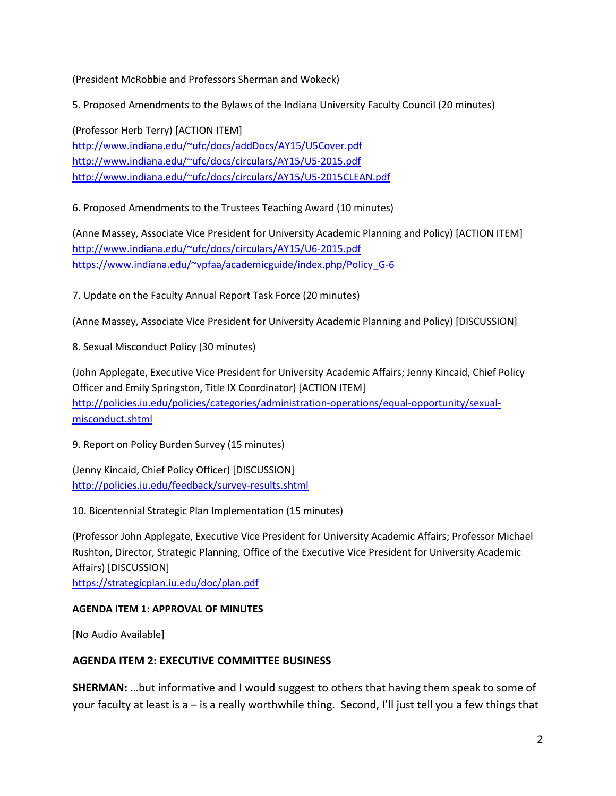(President McRobbie and Professors Sherman and Wokeck)

5. Proposed Amendments to the Bylaws of the Indiana University Faculty Council (20 minutes)

(Professor Herb Terry) [ACTION ITEM] [http://www.indiana.edu/~ufc/docs/addDocs/AY15/U5Cover.pdf](http://www.indiana.edu/%7Eufc/docs/addDocs/AY15/U5Cover.pdf)  [http://www.indiana.edu/~ufc/docs/circulars/AY15/U5-2015.pdf](http://www.indiana.edu/%7Eufc/docs/circulars/AY15/U5-2015.pdf)  [http://www.indiana.edu/~ufc/docs/circulars/AY15/U5-2015CLEAN.pdf](http://www.indiana.edu/%7Eufc/docs/circulars/AY15/U5-2015CLEAN.pdf) 

6. Proposed Amendments to the Trustees Teaching Award (10 minutes)

(Anne Massey, Associate Vice President for University Academic Planning and Policy) [ACTION ITEM] [http://www.indiana.edu/~ufc/docs/circulars/AY15/U6-2015.pdf](http://www.indiana.edu/%7Eufc/docs/circulars/AY15/U6-2015.pdf)  [https://www.indiana.edu/~vpfaa/academicguide/index.php/Policy\\_G-6](https://www.indiana.edu/%7Evpfaa/academicguide/index.php/Policy_G-6) 

7. Update on the Faculty Annual Report Task Force (20 minutes)

(Anne Massey, Associate Vice President for University Academic Planning and Policy) [DISCUSSION]

8. Sexual Misconduct Policy (30 minutes)

(John Applegate, Executive Vice President for University Academic Affairs; Jenny Kincaid, Chief Policy Officer and Emily Springston, Title IX Coordinator) [ACTION ITEM] [http://policies.iu.edu/policies/categories/administration-operations/equal-opportunity/sexual](http://policies.iu.edu/policies/categories/administration-operations/equal-opportunity/sexual-misconduct.shtml)[misconduct.shtml](http://policies.iu.edu/policies/categories/administration-operations/equal-opportunity/sexual-misconduct.shtml)

9. Report on Policy Burden Survey (15 minutes)

(Jenny Kincaid, Chief Policy Officer) [DISCUSSION] <http://policies.iu.edu/feedback/survey-results.shtml>

10. Bicentennial Strategic Plan Implementation (15 minutes)

(Professor John Applegate, Executive Vice President for University Academic Affairs; Professor Michael Rushton, Director, Strategic Planning, Office of the Executive Vice President for University Academic Affairs) [DISCUSSION]

<https://strategicplan.iu.edu/doc/plan.pdf>

### **AGENDA ITEM 1: APPROVAL OF MINUTES**

[No Audio Available]

## **AGENDA ITEM 2: EXECUTIVE COMMITTEE BUSINESS**

**SHERMAN:** …but informative and I would suggest to others that having them speak to some of your faculty at least is a – is a really worthwhile thing. Second, I'll just tell you a few things that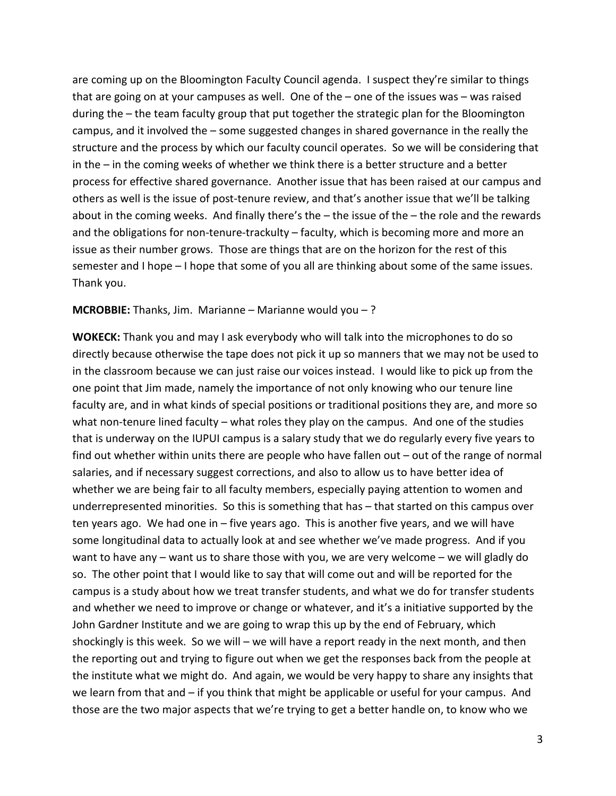are coming up on the Bloomington Faculty Council agenda. I suspect they're similar to things that are going on at your campuses as well. One of the – one of the issues was – was raised during the – the team faculty group that put together the strategic plan for the Bloomington campus, and it involved the – some suggested changes in shared governance in the really the structure and the process by which our faculty council operates. So we will be considering that in the – in the coming weeks of whether we think there is a better structure and a better process for effective shared governance. Another issue that has been raised at our campus and others as well is the issue of post-tenure review, and that's another issue that we'll be talking about in the coming weeks. And finally there's the – the issue of the – the role and the rewards and the obligations for non-tenure-trackulty – faculty, which is becoming more and more an issue as their number grows. Those are things that are on the horizon for the rest of this semester and I hope – I hope that some of you all are thinking about some of the same issues. Thank you.

#### **MCROBBIE:** Thanks, Jim. Marianne – Marianne would you – ?

**WOKECK:** Thank you and may I ask everybody who will talk into the microphones to do so directly because otherwise the tape does not pick it up so manners that we may not be used to in the classroom because we can just raise our voices instead. I would like to pick up from the one point that Jim made, namely the importance of not only knowing who our tenure line faculty are, and in what kinds of special positions or traditional positions they are, and more so what non-tenure lined faculty – what roles they play on the campus. And one of the studies that is underway on the IUPUI campus is a salary study that we do regularly every five years to find out whether within units there are people who have fallen out – out of the range of normal salaries, and if necessary suggest corrections, and also to allow us to have better idea of whether we are being fair to all faculty members, especially paying attention to women and underrepresented minorities. So this is something that has – that started on this campus over ten years ago. We had one in – five years ago. This is another five years, and we will have some longitudinal data to actually look at and see whether we've made progress. And if you want to have any – want us to share those with you, we are very welcome – we will gladly do so. The other point that I would like to say that will come out and will be reported for the campus is a study about how we treat transfer students, and what we do for transfer students and whether we need to improve or change or whatever, and it's a initiative supported by the John Gardner Institute and we are going to wrap this up by the end of February, which shockingly is this week. So we will – we will have a report ready in the next month, and then the reporting out and trying to figure out when we get the responses back from the people at the institute what we might do. And again, we would be very happy to share any insights that we learn from that and – if you think that might be applicable or useful for your campus. And those are the two major aspects that we're trying to get a better handle on, to know who we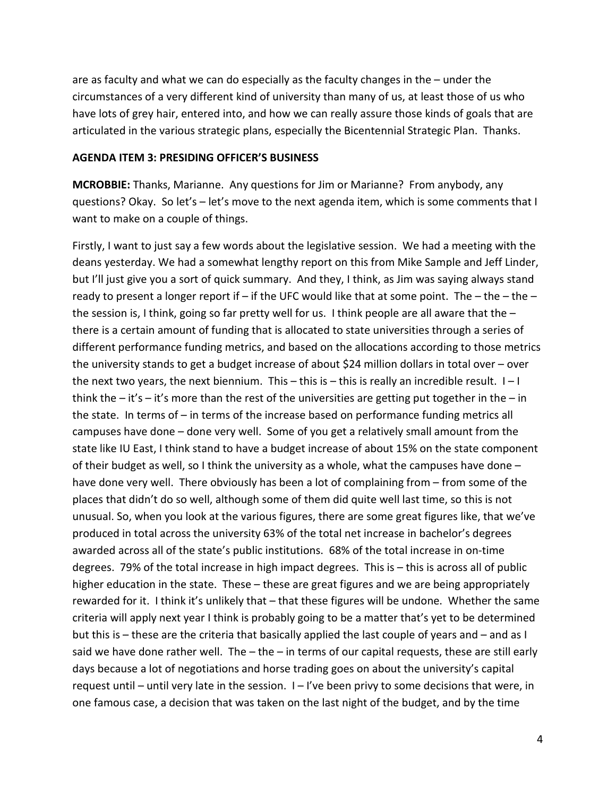are as faculty and what we can do especially as the faculty changes in the – under the circumstances of a very different kind of university than many of us, at least those of us who have lots of grey hair, entered into, and how we can really assure those kinds of goals that are articulated in the various strategic plans, especially the Bicentennial Strategic Plan. Thanks.

#### **AGENDA ITEM 3: PRESIDING OFFICER'S BUSINESS**

**MCROBBIE:** Thanks, Marianne. Any questions for Jim or Marianne? From anybody, any questions? Okay. So let's – let's move to the next agenda item, which is some comments that I want to make on a couple of things.

Firstly, I want to just say a few words about the legislative session. We had a meeting with the deans yesterday. We had a somewhat lengthy report on this from Mike Sample and Jeff Linder, but I'll just give you a sort of quick summary. And they, I think, as Jim was saying always stand ready to present a longer report if – if the UFC would like that at some point. The – the – the – the session is, I think, going so far pretty well for us. I think people are all aware that the  $$ there is a certain amount of funding that is allocated to state universities through a series of different performance funding metrics, and based on the allocations according to those metrics the university stands to get a budget increase of about \$24 million dollars in total over – over the next two years, the next biennium. This – this is – this is really an incredible result.  $I-I$ think the  $-$  it's  $-$  it's more than the rest of the universities are getting put together in the  $-$  in the state. In terms of – in terms of the increase based on performance funding metrics all campuses have done – done very well. Some of you get a relatively small amount from the state like IU East, I think stand to have a budget increase of about 15% on the state component of their budget as well, so I think the university as a whole, what the campuses have done – have done very well. There obviously has been a lot of complaining from – from some of the places that didn't do so well, although some of them did quite well last time, so this is not unusual. So, when you look at the various figures, there are some great figures like, that we've produced in total across the university 63% of the total net increase in bachelor's degrees awarded across all of the state's public institutions. 68% of the total increase in on-time degrees. 79% of the total increase in high impact degrees. This is – this is across all of public higher education in the state. These – these are great figures and we are being appropriately rewarded for it. I think it's unlikely that – that these figures will be undone. Whether the same criteria will apply next year I think is probably going to be a matter that's yet to be determined but this is – these are the criteria that basically applied the last couple of years and – and as I said we have done rather well. The – the – in terms of our capital requests, these are still early days because a lot of negotiations and horse trading goes on about the university's capital request until – until very late in the session.  $I - I'$ ve been privy to some decisions that were, in one famous case, a decision that was taken on the last night of the budget, and by the time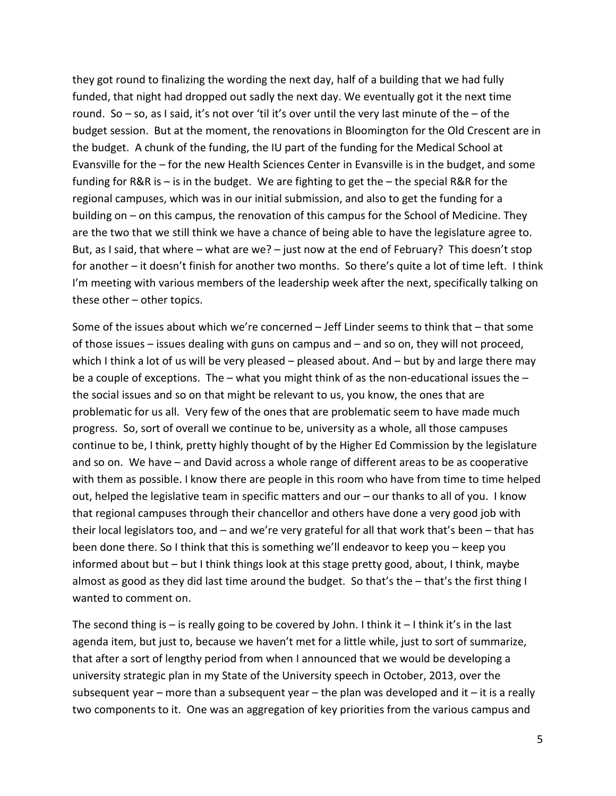they got round to finalizing the wording the next day, half of a building that we had fully funded, that night had dropped out sadly the next day. We eventually got it the next time round. So – so, as I said, it's not over 'til it's over until the very last minute of the – of the budget session. But at the moment, the renovations in Bloomington for the Old Crescent are in the budget. A chunk of the funding, the IU part of the funding for the Medical School at Evansville for the – for the new Health Sciences Center in Evansville is in the budget, and some funding for R&R is – is in the budget. We are fighting to get the – the special R&R for the regional campuses, which was in our initial submission, and also to get the funding for a building on – on this campus, the renovation of this campus for the School of Medicine. They are the two that we still think we have a chance of being able to have the legislature agree to. But, as I said, that where – what are we? – just now at the end of February? This doesn't stop for another – it doesn't finish for another two months. So there's quite a lot of time left. I think I'm meeting with various members of the leadership week after the next, specifically talking on these other – other topics.

Some of the issues about which we're concerned – Jeff Linder seems to think that – that some of those issues – issues dealing with guns on campus and – and so on, they will not proceed, which I think a lot of us will be very pleased – pleased about. And  $-$  but by and large there may be a couple of exceptions. The – what you might think of as the non-educational issues the – the social issues and so on that might be relevant to us, you know, the ones that are problematic for us all. Very few of the ones that are problematic seem to have made much progress. So, sort of overall we continue to be, university as a whole, all those campuses continue to be, I think, pretty highly thought of by the Higher Ed Commission by the legislature and so on. We have – and David across a whole range of different areas to be as cooperative with them as possible. I know there are people in this room who have from time to time helped out, helped the legislative team in specific matters and our – our thanks to all of you. I know that regional campuses through their chancellor and others have done a very good job with their local legislators too, and – and we're very grateful for all that work that's been – that has been done there. So I think that this is something we'll endeavor to keep you – keep you informed about but – but I think things look at this stage pretty good, about, I think, maybe almost as good as they did last time around the budget. So that's the – that's the first thing I wanted to comment on.

The second thing is  $-$  is really going to be covered by John. I think it  $-1$  think it's in the last agenda item, but just to, because we haven't met for a little while, just to sort of summarize, that after a sort of lengthy period from when I announced that we would be developing a university strategic plan in my State of the University speech in October, 2013, over the subsequent year – more than a subsequent year – the plan was developed and it – it is a really two components to it. One was an aggregation of key priorities from the various campus and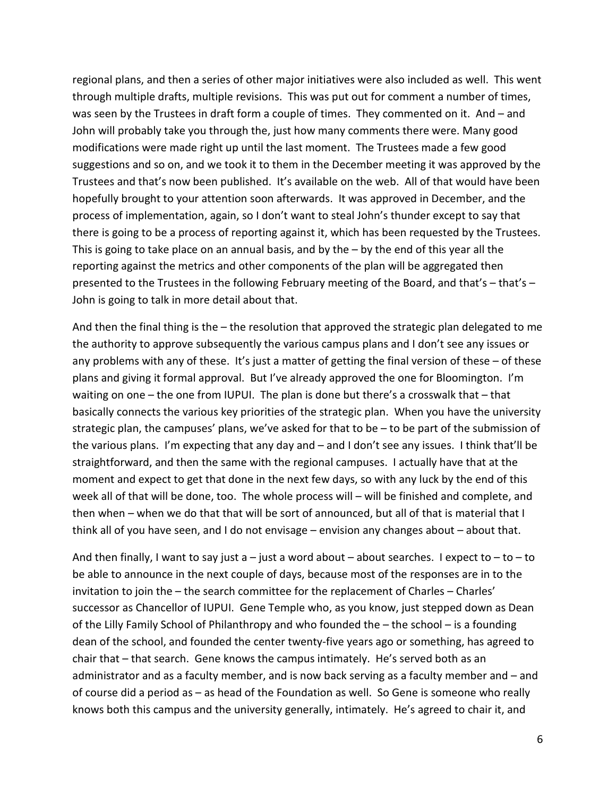regional plans, and then a series of other major initiatives were also included as well. This went through multiple drafts, multiple revisions. This was put out for comment a number of times, was seen by the Trustees in draft form a couple of times. They commented on it. And – and John will probably take you through the, just how many comments there were. Many good modifications were made right up until the last moment. The Trustees made a few good suggestions and so on, and we took it to them in the December meeting it was approved by the Trustees and that's now been published. It's available on the web. All of that would have been hopefully brought to your attention soon afterwards. It was approved in December, and the process of implementation, again, so I don't want to steal John's thunder except to say that there is going to be a process of reporting against it, which has been requested by the Trustees. This is going to take place on an annual basis, and by the – by the end of this year all the reporting against the metrics and other components of the plan will be aggregated then presented to the Trustees in the following February meeting of the Board, and that's – that's – John is going to talk in more detail about that.

And then the final thing is the – the resolution that approved the strategic plan delegated to me the authority to approve subsequently the various campus plans and I don't see any issues or any problems with any of these. It's just a matter of getting the final version of these – of these plans and giving it formal approval. But I've already approved the one for Bloomington. I'm waiting on one – the one from IUPUI. The plan is done but there's a crosswalk that – that basically connects the various key priorities of the strategic plan. When you have the university strategic plan, the campuses' plans, we've asked for that to be – to be part of the submission of the various plans. I'm expecting that any day and – and I don't see any issues. I think that'll be straightforward, and then the same with the regional campuses. I actually have that at the moment and expect to get that done in the next few days, so with any luck by the end of this week all of that will be done, too. The whole process will – will be finished and complete, and then when – when we do that that will be sort of announced, but all of that is material that I think all of you have seen, and I do not envisage – envision any changes about – about that.

And then finally, I want to say just a – just a word about – about searches. I expect to – to – to be able to announce in the next couple of days, because most of the responses are in to the invitation to join the – the search committee for the replacement of Charles – Charles' successor as Chancellor of IUPUI. Gene Temple who, as you know, just stepped down as Dean of the Lilly Family School of Philanthropy and who founded the – the school – is a founding dean of the school, and founded the center twenty-five years ago or something, has agreed to chair that – that search. Gene knows the campus intimately. He's served both as an administrator and as a faculty member, and is now back serving as a faculty member and – and of course did a period as – as head of the Foundation as well. So Gene is someone who really knows both this campus and the university generally, intimately. He's agreed to chair it, and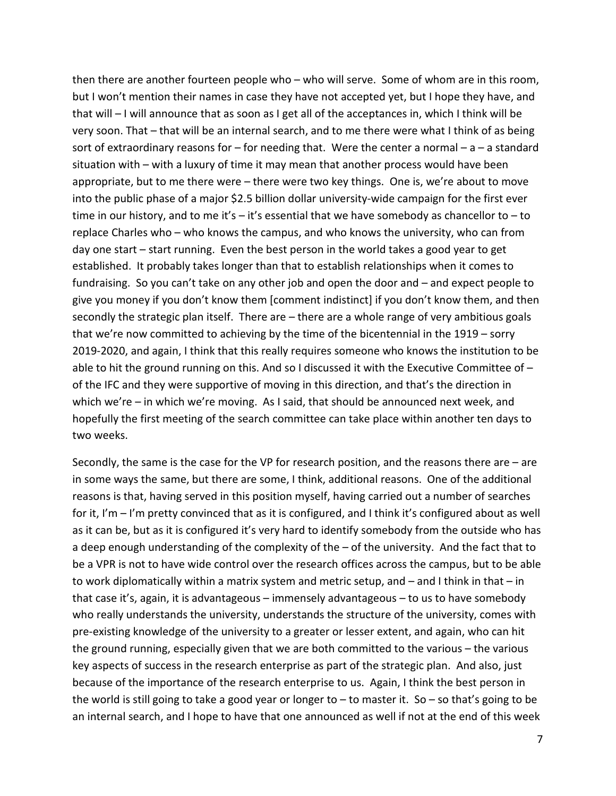then there are another fourteen people who – who will serve. Some of whom are in this room, but I won't mention their names in case they have not accepted yet, but I hope they have, and that will – I will announce that as soon as I get all of the acceptances in, which I think will be very soon. That – that will be an internal search, and to me there were what I think of as being sort of extraordinary reasons for  $-$  for needing that. Were the center a normal  $-$  a  $-$  a standard situation with – with a luxury of time it may mean that another process would have been appropriate, but to me there were – there were two key things. One is, we're about to move into the public phase of a major \$2.5 billion dollar university-wide campaign for the first ever time in our history, and to me it's  $-$  it's essential that we have somebody as chancellor to  $-$  to replace Charles who – who knows the campus, and who knows the university, who can from day one start – start running. Even the best person in the world takes a good year to get established. It probably takes longer than that to establish relationships when it comes to fundraising. So you can't take on any other job and open the door and – and expect people to give you money if you don't know them [comment indistinct] if you don't know them, and then secondly the strategic plan itself. There are – there are a whole range of very ambitious goals that we're now committed to achieving by the time of the bicentennial in the 1919 – sorry 2019-2020, and again, I think that this really requires someone who knows the institution to be able to hit the ground running on this. And so I discussed it with the Executive Committee of – of the IFC and they were supportive of moving in this direction, and that's the direction in which we're – in which we're moving. As I said, that should be announced next week, and hopefully the first meeting of the search committee can take place within another ten days to two weeks.

Secondly, the same is the case for the VP for research position, and the reasons there are – are in some ways the same, but there are some, I think, additional reasons. One of the additional reasons is that, having served in this position myself, having carried out a number of searches for it, I'm – I'm pretty convinced that as it is configured, and I think it's configured about as well as it can be, but as it is configured it's very hard to identify somebody from the outside who has a deep enough understanding of the complexity of the – of the university. And the fact that to be a VPR is not to have wide control over the research offices across the campus, but to be able to work diplomatically within a matrix system and metric setup, and – and I think in that – in that case it's, again, it is advantageous – immensely advantageous – to us to have somebody who really understands the university, understands the structure of the university, comes with pre-existing knowledge of the university to a greater or lesser extent, and again, who can hit the ground running, especially given that we are both committed to the various – the various key aspects of success in the research enterprise as part of the strategic plan. And also, just because of the importance of the research enterprise to us. Again, I think the best person in the world is still going to take a good year or longer to  $-$  to master it. So  $-$  so that's going to be an internal search, and I hope to have that one announced as well if not at the end of this week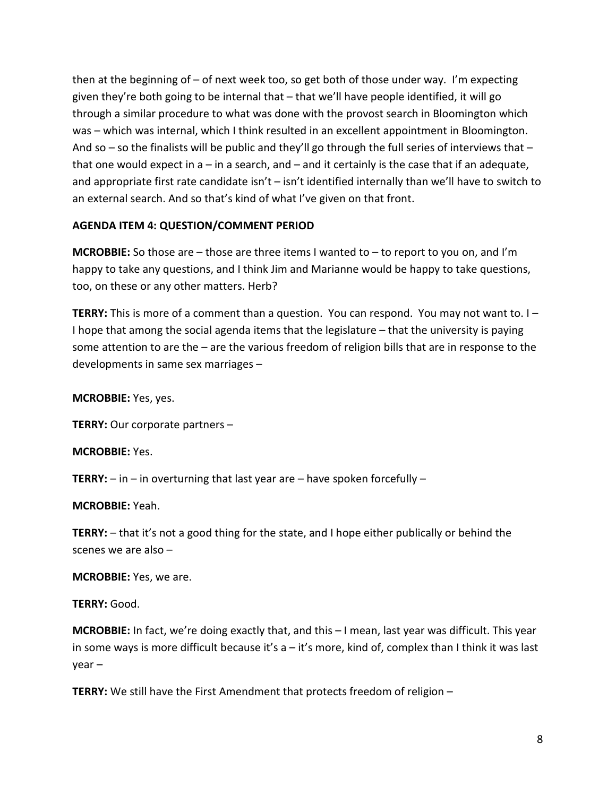then at the beginning of – of next week too, so get both of those under way. I'm expecting given they're both going to be internal that – that we'll have people identified, it will go through a similar procedure to what was done with the provost search in Bloomington which was – which was internal, which I think resulted in an excellent appointment in Bloomington. And so – so the finalists will be public and they'll go through the full series of interviews that – that one would expect in  $a - in a$  search, and  $-$  and it certainly is the case that if an adequate, and appropriate first rate candidate isn't – isn't identified internally than we'll have to switch to an external search. And so that's kind of what I've given on that front.

### **AGENDA ITEM 4: QUESTION/COMMENT PERIOD**

**MCROBBIE:** So those are – those are three items I wanted to – to report to you on, and I'm happy to take any questions, and I think Jim and Marianne would be happy to take questions, too, on these or any other matters. Herb?

**TERRY:** This is more of a comment than a question. You can respond. You may not want to. I – I hope that among the social agenda items that the legislature – that the university is paying some attention to are the – are the various freedom of religion bills that are in response to the developments in same sex marriages –

**MCROBBIE:** Yes, yes.

**TERRY:** Our corporate partners –

**MCROBBIE:** Yes.

**TERRY:** – in – in overturning that last year are – have spoken forcefully –

**MCROBBIE:** Yeah.

**TERRY:** – that it's not a good thing for the state, and I hope either publically or behind the scenes we are also –

**MCROBBIE:** Yes, we are.

**TERRY:** Good.

**MCROBBIE:** In fact, we're doing exactly that, and this – I mean, last year was difficult. This year in some ways is more difficult because it's  $a - it$ 's more, kind of, complex than I think it was last year –

**TERRY:** We still have the First Amendment that protects freedom of religion –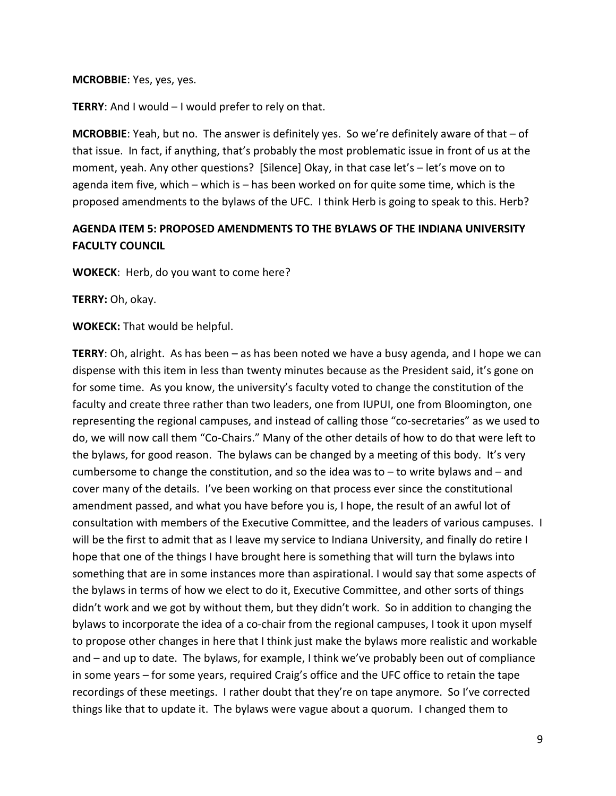#### **MCROBBIE**: Yes, yes, yes.

**TERRY**: And I would – I would prefer to rely on that.

**MCROBBIE**: Yeah, but no. The answer is definitely yes. So we're definitely aware of that – of that issue. In fact, if anything, that's probably the most problematic issue in front of us at the moment, yeah. Any other questions? [Silence] Okay, in that case let's – let's move on to agenda item five, which – which is – has been worked on for quite some time, which is the proposed amendments to the bylaws of the UFC. I think Herb is going to speak to this. Herb?

# **AGENDA ITEM 5: PROPOSED AMENDMENTS TO THE BYLAWS OF THE INDIANA UNIVERSITY FACULTY COUNCIL**

**WOKECK**: Herb, do you want to come here?

**TERRY:** Oh, okay.

**WOKECK:** That would be helpful.

**TERRY**: Oh, alright. As has been – as has been noted we have a busy agenda, and I hope we can dispense with this item in less than twenty minutes because as the President said, it's gone on for some time. As you know, the university's faculty voted to change the constitution of the faculty and create three rather than two leaders, one from IUPUI, one from Bloomington, one representing the regional campuses, and instead of calling those "co-secretaries" as we used to do, we will now call them "Co-Chairs." Many of the other details of how to do that were left to the bylaws, for good reason. The bylaws can be changed by a meeting of this body. It's very cumbersome to change the constitution, and so the idea was to – to write bylaws and – and cover many of the details. I've been working on that process ever since the constitutional amendment passed, and what you have before you is, I hope, the result of an awful lot of consultation with members of the Executive Committee, and the leaders of various campuses. I will be the first to admit that as I leave my service to Indiana University, and finally do retire I hope that one of the things I have brought here is something that will turn the bylaws into something that are in some instances more than aspirational. I would say that some aspects of the bylaws in terms of how we elect to do it, Executive Committee, and other sorts of things didn't work and we got by without them, but they didn't work. So in addition to changing the bylaws to incorporate the idea of a co-chair from the regional campuses, I took it upon myself to propose other changes in here that I think just make the bylaws more realistic and workable and – and up to date. The bylaws, for example, I think we've probably been out of compliance in some years – for some years, required Craig's office and the UFC office to retain the tape recordings of these meetings. I rather doubt that they're on tape anymore. So I've corrected things like that to update it. The bylaws were vague about a quorum. I changed them to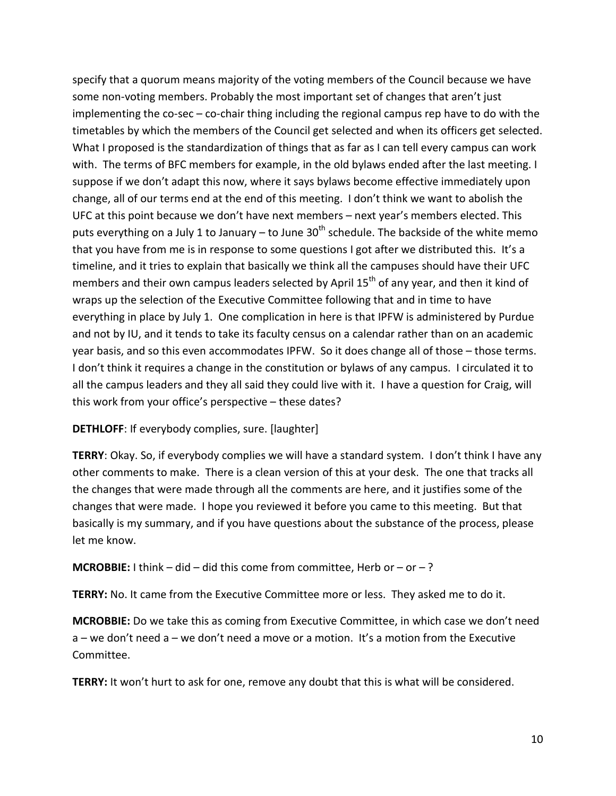specify that a quorum means majority of the voting members of the Council because we have some non-voting members. Probably the most important set of changes that aren't just implementing the co-sec – co-chair thing including the regional campus rep have to do with the timetables by which the members of the Council get selected and when its officers get selected. What I proposed is the standardization of things that as far as I can tell every campus can work with. The terms of BFC members for example, in the old bylaws ended after the last meeting. I suppose if we don't adapt this now, where it says bylaws become effective immediately upon change, all of our terms end at the end of this meeting. I don't think we want to abolish the UFC at this point because we don't have next members – next year's members elected. This puts everything on a July 1 to January – to June  $30<sup>th</sup>$  schedule. The backside of the white memo that you have from me is in response to some questions I got after we distributed this. It's a timeline, and it tries to explain that basically we think all the campuses should have their UFC members and their own campus leaders selected by April 15<sup>th</sup> of any year, and then it kind of wraps up the selection of the Executive Committee following that and in time to have everything in place by July 1. One complication in here is that IPFW is administered by Purdue and not by IU, and it tends to take its faculty census on a calendar rather than on an academic year basis, and so this even accommodates IPFW. So it does change all of those – those terms. I don't think it requires a change in the constitution or bylaws of any campus. I circulated it to all the campus leaders and they all said they could live with it. I have a question for Craig, will this work from your office's perspective – these dates?

### **DETHLOFF**: If everybody complies, sure. [laughter]

**TERRY**: Okay. So, if everybody complies we will have a standard system. I don't think I have any other comments to make. There is a clean version of this at your desk. The one that tracks all the changes that were made through all the comments are here, and it justifies some of the changes that were made. I hope you reviewed it before you came to this meeting. But that basically is my summary, and if you have questions about the substance of the process, please let me know.

**MCROBBIE:** I think  $-$  did  $-$  did this come from committee, Herb or  $-$  or  $-$ ?

**TERRY:** No. It came from the Executive Committee more or less. They asked me to do it.

**MCROBBIE:** Do we take this as coming from Executive Committee, in which case we don't need a – we don't need a – we don't need a move or a motion. It's a motion from the Executive Committee.

**TERRY:** It won't hurt to ask for one, remove any doubt that this is what will be considered.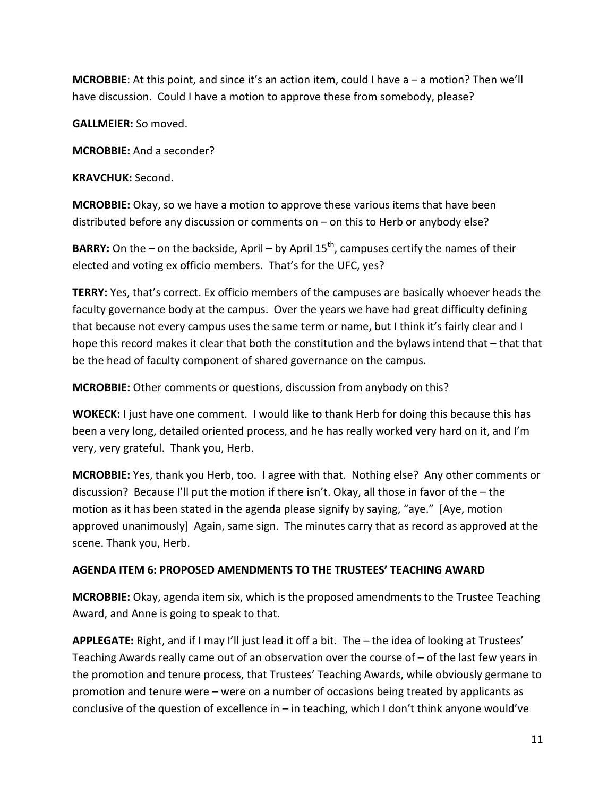**MCROBBIE**: At this point, and since it's an action item, could I have a – a motion? Then we'll have discussion. Could I have a motion to approve these from somebody, please?

**GALLMEIER:** So moved.

**MCROBBIE:** And a seconder?

**KRAVCHUK:** Second.

**MCROBBIE:** Okay, so we have a motion to approve these various items that have been distributed before any discussion or comments on – on this to Herb or anybody else?

**BARRY:** On the – on the backside, April – by April  $15<sup>th</sup>$ , campuses certify the names of their elected and voting ex officio members. That's for the UFC, yes?

**TERRY:** Yes, that's correct. Ex officio members of the campuses are basically whoever heads the faculty governance body at the campus. Over the years we have had great difficulty defining that because not every campus uses the same term or name, but I think it's fairly clear and I hope this record makes it clear that both the constitution and the bylaws intend that – that that be the head of faculty component of shared governance on the campus.

**MCROBBIE:** Other comments or questions, discussion from anybody on this?

**WOKECK:** I just have one comment. I would like to thank Herb for doing this because this has been a very long, detailed oriented process, and he has really worked very hard on it, and I'm very, very grateful. Thank you, Herb.

**MCROBBIE:** Yes, thank you Herb, too. I agree with that. Nothing else? Any other comments or discussion? Because I'll put the motion if there isn't. Okay, all those in favor of the – the motion as it has been stated in the agenda please signify by saying, "aye." [Aye, motion approved unanimously] Again, same sign. The minutes carry that as record as approved at the scene. Thank you, Herb.

## **AGENDA ITEM 6: PROPOSED AMENDMENTS TO THE TRUSTEES' TEACHING AWARD**

**MCROBBIE:** Okay, agenda item six, which is the proposed amendments to the Trustee Teaching Award, and Anne is going to speak to that.

**APPLEGATE:** Right, and if I may I'll just lead it off a bit. The – the idea of looking at Trustees' Teaching Awards really came out of an observation over the course of – of the last few years in the promotion and tenure process, that Trustees' Teaching Awards, while obviously germane to promotion and tenure were – were on a number of occasions being treated by applicants as conclusive of the question of excellence in  $-$  in teaching, which I don't think anyone would've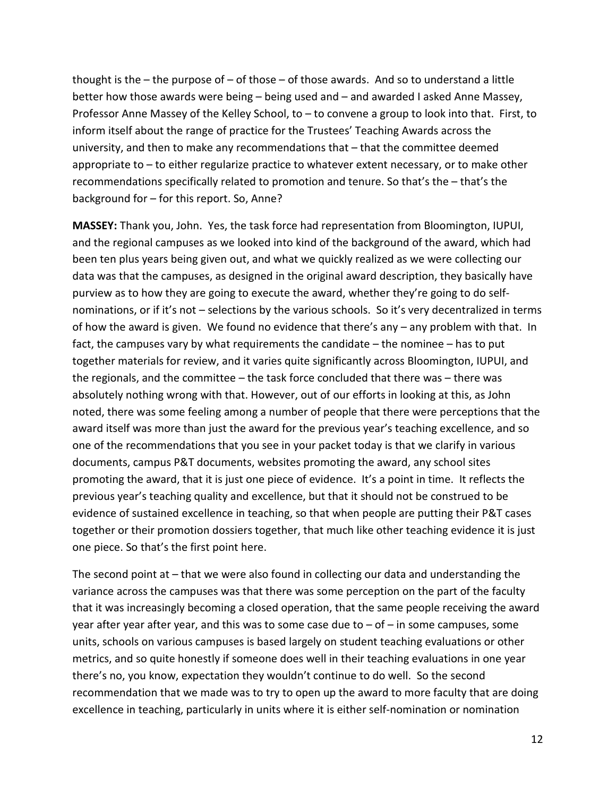thought is the  $-$  the purpose of  $-$  of those  $-$  of those awards. And so to understand a little better how those awards were being – being used and – and awarded I asked Anne Massey, Professor Anne Massey of the Kelley School, to – to convene a group to look into that. First, to inform itself about the range of practice for the Trustees' Teaching Awards across the university, and then to make any recommendations that – that the committee deemed appropriate to – to either regularize practice to whatever extent necessary, or to make other recommendations specifically related to promotion and tenure. So that's the – that's the background for – for this report. So, Anne?

**MASSEY:** Thank you, John. Yes, the task force had representation from Bloomington, IUPUI, and the regional campuses as we looked into kind of the background of the award, which had been ten plus years being given out, and what we quickly realized as we were collecting our data was that the campuses, as designed in the original award description, they basically have purview as to how they are going to execute the award, whether they're going to do selfnominations, or if it's not – selections by the various schools. So it's very decentralized in terms of how the award is given. We found no evidence that there's any – any problem with that. In fact, the campuses vary by what requirements the candidate – the nominee – has to put together materials for review, and it varies quite significantly across Bloomington, IUPUI, and the regionals, and the committee – the task force concluded that there was – there was absolutely nothing wrong with that. However, out of our efforts in looking at this, as John noted, there was some feeling among a number of people that there were perceptions that the award itself was more than just the award for the previous year's teaching excellence, and so one of the recommendations that you see in your packet today is that we clarify in various documents, campus P&T documents, websites promoting the award, any school sites promoting the award, that it is just one piece of evidence. It's a point in time. It reflects the previous year's teaching quality and excellence, but that it should not be construed to be evidence of sustained excellence in teaching, so that when people are putting their P&T cases together or their promotion dossiers together, that much like other teaching evidence it is just one piece. So that's the first point here.

The second point at – that we were also found in collecting our data and understanding the variance across the campuses was that there was some perception on the part of the faculty that it was increasingly becoming a closed operation, that the same people receiving the award year after year after year, and this was to some case due to  $-$  of  $-$  in some campuses, some units, schools on various campuses is based largely on student teaching evaluations or other metrics, and so quite honestly if someone does well in their teaching evaluations in one year there's no, you know, expectation they wouldn't continue to do well. So the second recommendation that we made was to try to open up the award to more faculty that are doing excellence in teaching, particularly in units where it is either self-nomination or nomination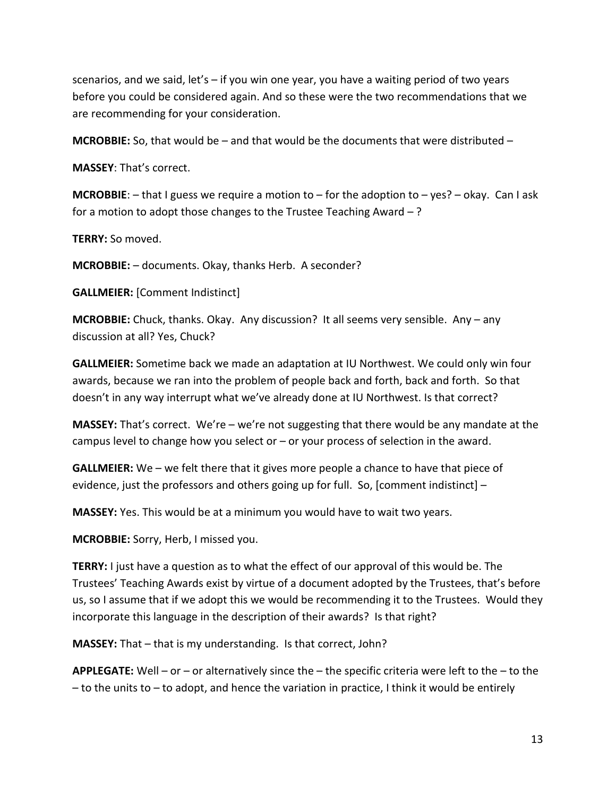scenarios, and we said, let's – if you win one year, you have a waiting period of two years before you could be considered again. And so these were the two recommendations that we are recommending for your consideration.

**MCROBBIE:** So, that would be – and that would be the documents that were distributed –

**MASSEY**: That's correct.

**MCROBBIE**: – that I guess we require a motion to – for the adoption to – yes? – okay. Can I ask for a motion to adopt those changes to the Trustee Teaching Award  $-$  ?

**TERRY:** So moved.

**MCROBBIE:** – documents. Okay, thanks Herb. A seconder?

**GALLMEIER:** [Comment Indistinct]

**MCROBBIE:** Chuck, thanks. Okay. Any discussion? It all seems very sensible. Any – any discussion at all? Yes, Chuck?

**GALLMEIER:** Sometime back we made an adaptation at IU Northwest. We could only win four awards, because we ran into the problem of people back and forth, back and forth. So that doesn't in any way interrupt what we've already done at IU Northwest. Is that correct?

**MASSEY:** That's correct. We're – we're not suggesting that there would be any mandate at the campus level to change how you select or – or your process of selection in the award.

**GALLMEIER:** We – we felt there that it gives more people a chance to have that piece of evidence, just the professors and others going up for full. So, [comment indistinct] –

**MASSEY:** Yes. This would be at a minimum you would have to wait two years.

**MCROBBIE:** Sorry, Herb, I missed you.

**TERRY:** I just have a question as to what the effect of our approval of this would be. The Trustees' Teaching Awards exist by virtue of a document adopted by the Trustees, that's before us, so I assume that if we adopt this we would be recommending it to the Trustees. Would they incorporate this language in the description of their awards? Is that right?

**MASSEY:** That – that is my understanding. Is that correct, John?

**APPLEGATE:** Well – or – or alternatively since the – the specific criteria were left to the – to the – to the units to – to adopt, and hence the variation in practice, I think it would be entirely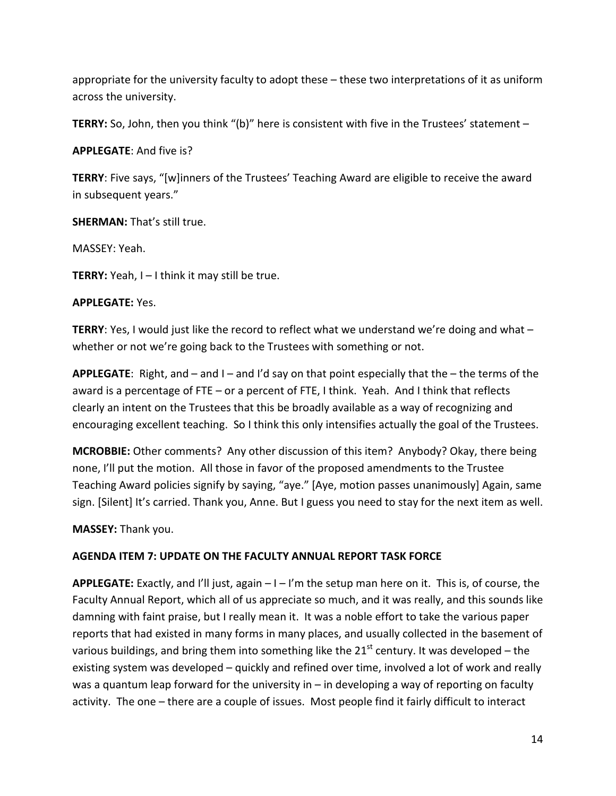appropriate for the university faculty to adopt these – these two interpretations of it as uniform across the university.

**TERRY:** So, John, then you think "(b)" here is consistent with five in the Trustees' statement –

**APPLEGATE**: And five is?

**TERRY**: Five says, "[w]inners of the Trustees' Teaching Award are eligible to receive the award in subsequent years."

**SHERMAN:** That's still true.

MASSEY: Yeah.

**TERRY:** Yeah, I – I think it may still be true.

#### **APPLEGATE:** Yes.

**TERRY**: Yes, I would just like the record to reflect what we understand we're doing and what – whether or not we're going back to the Trustees with something or not.

**APPLEGATE**: Right, and – and I – and I'd say on that point especially that the – the terms of the award is a percentage of FTE – or a percent of FTE, I think. Yeah. And I think that reflects clearly an intent on the Trustees that this be broadly available as a way of recognizing and encouraging excellent teaching. So I think this only intensifies actually the goal of the Trustees.

**MCROBBIE:** Other comments? Any other discussion of this item? Anybody? Okay, there being none, I'll put the motion. All those in favor of the proposed amendments to the Trustee Teaching Award policies signify by saying, "aye." [Aye, motion passes unanimously] Again, same sign. [Silent] It's carried. Thank you, Anne. But I guess you need to stay for the next item as well.

**MASSEY:** Thank you.

### **AGENDA ITEM 7: UPDATE ON THE FACULTY ANNUAL REPORT TASK FORCE**

**APPLEGATE:** Exactly, and I'll just, again – I – I'm the setup man here on it. This is, of course, the Faculty Annual Report, which all of us appreciate so much, and it was really, and this sounds like damning with faint praise, but I really mean it. It was a noble effort to take the various paper reports that had existed in many forms in many places, and usually collected in the basement of various buildings, and bring them into something like the  $21<sup>st</sup>$  century. It was developed – the existing system was developed – quickly and refined over time, involved a lot of work and really was a quantum leap forward for the university in  $-$  in developing a way of reporting on faculty activity. The one – there are a couple of issues. Most people find it fairly difficult to interact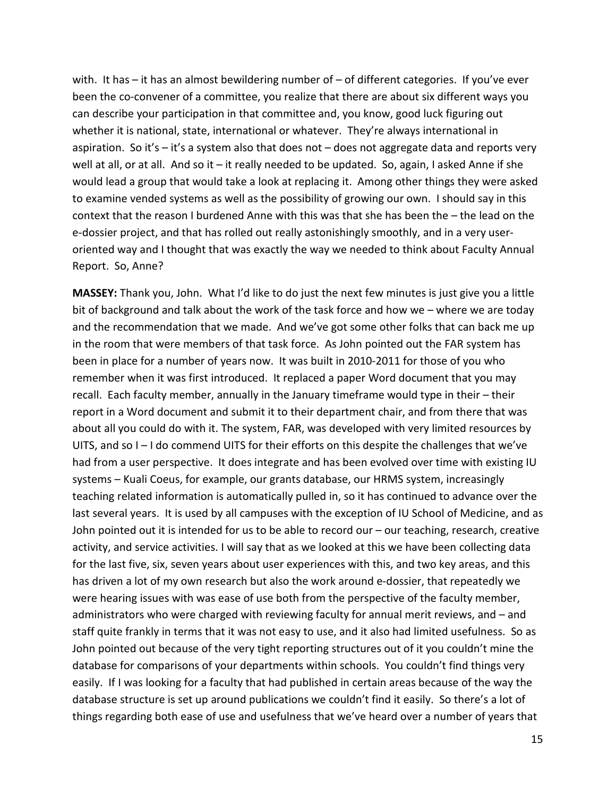with. It has  $-$  it has an almost bewildering number of  $-$  of different categories. If you've ever been the co-convener of a committee, you realize that there are about six different ways you can describe your participation in that committee and, you know, good luck figuring out whether it is national, state, international or whatever. They're always international in aspiration. So it's  $-$  it's a system also that does not  $-$  does not aggregate data and reports very well at all, or at all. And so it - it really needed to be updated. So, again, I asked Anne if she would lead a group that would take a look at replacing it. Among other things they were asked to examine vended systems as well as the possibility of growing our own. I should say in this context that the reason I burdened Anne with this was that she has been the – the lead on the e-dossier project, and that has rolled out really astonishingly smoothly, and in a very useroriented way and I thought that was exactly the way we needed to think about Faculty Annual Report. So, Anne?

**MASSEY:** Thank you, John. What I'd like to do just the next few minutes is just give you a little bit of background and talk about the work of the task force and how we – where we are today and the recommendation that we made. And we've got some other folks that can back me up in the room that were members of that task force. As John pointed out the FAR system has been in place for a number of years now. It was built in 2010-2011 for those of you who remember when it was first introduced. It replaced a paper Word document that you may recall. Each faculty member, annually in the January timeframe would type in their – their report in a Word document and submit it to their department chair, and from there that was about all you could do with it. The system, FAR, was developed with very limited resources by UITS, and so I – I do commend UITS for their efforts on this despite the challenges that we've had from a user perspective. It does integrate and has been evolved over time with existing IU systems – Kuali Coeus, for example, our grants database, our HRMS system, increasingly teaching related information is automatically pulled in, so it has continued to advance over the last several years. It is used by all campuses with the exception of IU School of Medicine, and as John pointed out it is intended for us to be able to record our – our teaching, research, creative activity, and service activities. I will say that as we looked at this we have been collecting data for the last five, six, seven years about user experiences with this, and two key areas, and this has driven a lot of my own research but also the work around e-dossier, that repeatedly we were hearing issues with was ease of use both from the perspective of the faculty member, administrators who were charged with reviewing faculty for annual merit reviews, and – and staff quite frankly in terms that it was not easy to use, and it also had limited usefulness. So as John pointed out because of the very tight reporting structures out of it you couldn't mine the database for comparisons of your departments within schools. You couldn't find things very easily. If I was looking for a faculty that had published in certain areas because of the way the database structure is set up around publications we couldn't find it easily. So there's a lot of things regarding both ease of use and usefulness that we've heard over a number of years that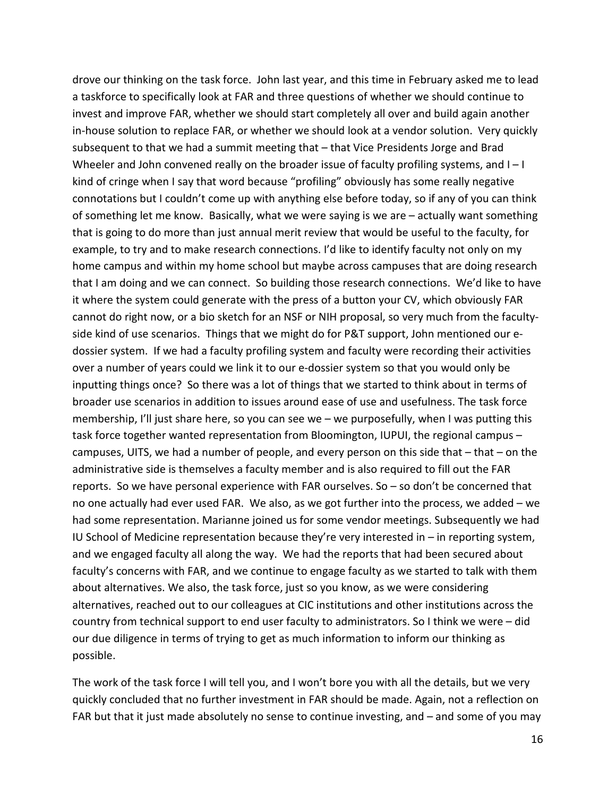drove our thinking on the task force. John last year, and this time in February asked me to lead a taskforce to specifically look at FAR and three questions of whether we should continue to invest and improve FAR, whether we should start completely all over and build again another in-house solution to replace FAR, or whether we should look at a vendor solution. Very quickly subsequent to that we had a summit meeting that – that Vice Presidents Jorge and Brad Wheeler and John convened really on the broader issue of faculty profiling systems, and I-I kind of cringe when I say that word because "profiling" obviously has some really negative connotations but I couldn't come up with anything else before today, so if any of you can think of something let me know. Basically, what we were saying is we are – actually want something that is going to do more than just annual merit review that would be useful to the faculty, for example, to try and to make research connections. I'd like to identify faculty not only on my home campus and within my home school but maybe across campuses that are doing research that I am doing and we can connect. So building those research connections. We'd like to have it where the system could generate with the press of a button your CV, which obviously FAR cannot do right now, or a bio sketch for an NSF or NIH proposal, so very much from the facultyside kind of use scenarios. Things that we might do for P&T support, John mentioned our edossier system. If we had a faculty profiling system and faculty were recording their activities over a number of years could we link it to our e-dossier system so that you would only be inputting things once? So there was a lot of things that we started to think about in terms of broader use scenarios in addition to issues around ease of use and usefulness. The task force membership, I'll just share here, so you can see we – we purposefully, when I was putting this task force together wanted representation from Bloomington, IUPUI, the regional campus – campuses, UITS, we had a number of people, and every person on this side that – that – on the administrative side is themselves a faculty member and is also required to fill out the FAR reports. So we have personal experience with FAR ourselves. So – so don't be concerned that no one actually had ever used FAR. We also, as we got further into the process, we added – we had some representation. Marianne joined us for some vendor meetings. Subsequently we had IU School of Medicine representation because they're very interested in – in reporting system, and we engaged faculty all along the way. We had the reports that had been secured about faculty's concerns with FAR, and we continue to engage faculty as we started to talk with them about alternatives. We also, the task force, just so you know, as we were considering alternatives, reached out to our colleagues at CIC institutions and other institutions across the country from technical support to end user faculty to administrators. So I think we were – did our due diligence in terms of trying to get as much information to inform our thinking as possible.

The work of the task force I will tell you, and I won't bore you with all the details, but we very quickly concluded that no further investment in FAR should be made. Again, not a reflection on FAR but that it just made absolutely no sense to continue investing, and – and some of you may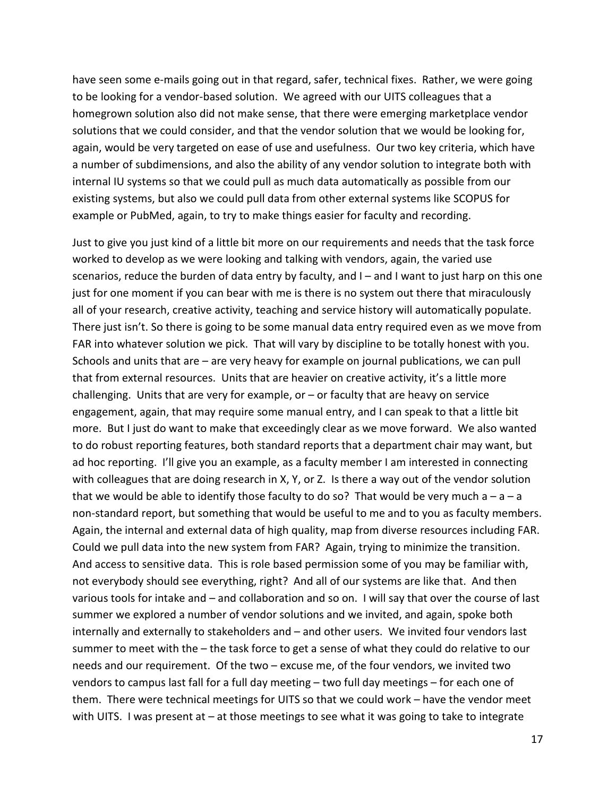have seen some e-mails going out in that regard, safer, technical fixes. Rather, we were going to be looking for a vendor-based solution. We agreed with our UITS colleagues that a homegrown solution also did not make sense, that there were emerging marketplace vendor solutions that we could consider, and that the vendor solution that we would be looking for, again, would be very targeted on ease of use and usefulness. Our two key criteria, which have a number of subdimensions, and also the ability of any vendor solution to integrate both with internal IU systems so that we could pull as much data automatically as possible from our existing systems, but also we could pull data from other external systems like SCOPUS for example or PubMed, again, to try to make things easier for faculty and recording.

Just to give you just kind of a little bit more on our requirements and needs that the task force worked to develop as we were looking and talking with vendors, again, the varied use scenarios, reduce the burden of data entry by faculty, and  $I -$  and I want to just harp on this one just for one moment if you can bear with me is there is no system out there that miraculously all of your research, creative activity, teaching and service history will automatically populate. There just isn't. So there is going to be some manual data entry required even as we move from FAR into whatever solution we pick. That will vary by discipline to be totally honest with you. Schools and units that are – are very heavy for example on journal publications, we can pull that from external resources. Units that are heavier on creative activity, it's a little more challenging. Units that are very for example, or – or faculty that are heavy on service engagement, again, that may require some manual entry, and I can speak to that a little bit more. But I just do want to make that exceedingly clear as we move forward. We also wanted to do robust reporting features, both standard reports that a department chair may want, but ad hoc reporting. I'll give you an example, as a faculty member I am interested in connecting with colleagues that are doing research in X, Y, or Z. Is there a way out of the vendor solution that we would be able to identify those faculty to do so? That would be very much  $a - a - a$ non-standard report, but something that would be useful to me and to you as faculty members. Again, the internal and external data of high quality, map from diverse resources including FAR. Could we pull data into the new system from FAR? Again, trying to minimize the transition. And access to sensitive data. This is role based permission some of you may be familiar with, not everybody should see everything, right? And all of our systems are like that. And then various tools for intake and – and collaboration and so on. I will say that over the course of last summer we explored a number of vendor solutions and we invited, and again, spoke both internally and externally to stakeholders and – and other users. We invited four vendors last summer to meet with the – the task force to get a sense of what they could do relative to our needs and our requirement. Of the two – excuse me, of the four vendors, we invited two vendors to campus last fall for a full day meeting – two full day meetings – for each one of them. There were technical meetings for UITS so that we could work – have the vendor meet with UITS. I was present at – at those meetings to see what it was going to take to integrate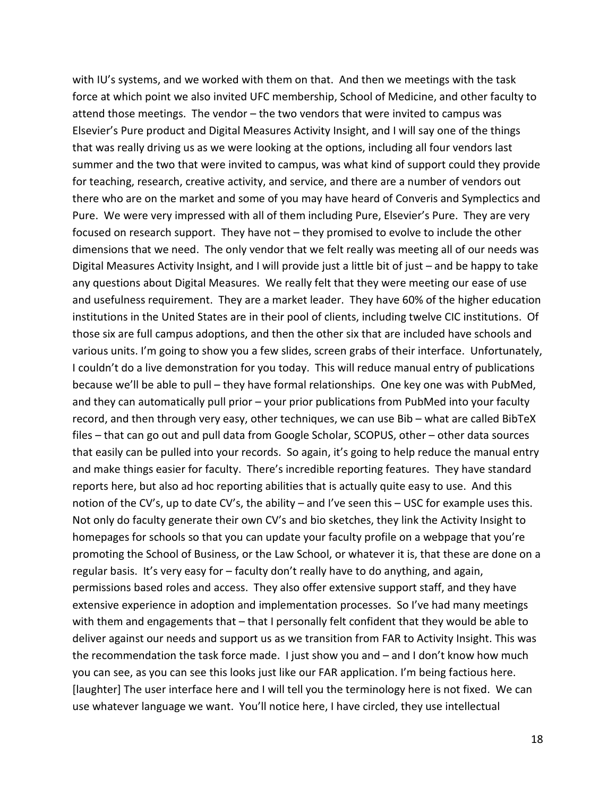with IU's systems, and we worked with them on that. And then we meetings with the task force at which point we also invited UFC membership, School of Medicine, and other faculty to attend those meetings. The vendor – the two vendors that were invited to campus was Elsevier's Pure product and Digital Measures Activity Insight, and I will say one of the things that was really driving us as we were looking at the options, including all four vendors last summer and the two that were invited to campus, was what kind of support could they provide for teaching, research, creative activity, and service, and there are a number of vendors out there who are on the market and some of you may have heard of Converis and Symplectics and Pure. We were very impressed with all of them including Pure, Elsevier's Pure. They are very focused on research support. They have not – they promised to evolve to include the other dimensions that we need. The only vendor that we felt really was meeting all of our needs was Digital Measures Activity Insight, and I will provide just a little bit of just – and be happy to take any questions about Digital Measures. We really felt that they were meeting our ease of use and usefulness requirement. They are a market leader. They have 60% of the higher education institutions in the United States are in their pool of clients, including twelve CIC institutions. Of those six are full campus adoptions, and then the other six that are included have schools and various units. I'm going to show you a few slides, screen grabs of their interface. Unfortunately, I couldn't do a live demonstration for you today. This will reduce manual entry of publications because we'll be able to pull – they have formal relationships. One key one was with PubMed, and they can automatically pull prior – your prior publications from PubMed into your faculty record, and then through very easy, other techniques, we can use Bib – what are called BibTeX files – that can go out and pull data from Google Scholar, SCOPUS, other – other data sources that easily can be pulled into your records. So again, it's going to help reduce the manual entry and make things easier for faculty. There's incredible reporting features. They have standard reports here, but also ad hoc reporting abilities that is actually quite easy to use. And this notion of the CV's, up to date CV's, the ability – and I've seen this – USC for example uses this. Not only do faculty generate their own CV's and bio sketches, they link the Activity Insight to homepages for schools so that you can update your faculty profile on a webpage that you're promoting the School of Business, or the Law School, or whatever it is, that these are done on a regular basis. It's very easy for – faculty don't really have to do anything, and again, permissions based roles and access. They also offer extensive support staff, and they have extensive experience in adoption and implementation processes. So I've had many meetings with them and engagements that - that I personally felt confident that they would be able to deliver against our needs and support us as we transition from FAR to Activity Insight. This was the recommendation the task force made. I just show you and – and I don't know how much you can see, as you can see this looks just like our FAR application. I'm being factious here. [laughter] The user interface here and I will tell you the terminology here is not fixed. We can use whatever language we want. You'll notice here, I have circled, they use intellectual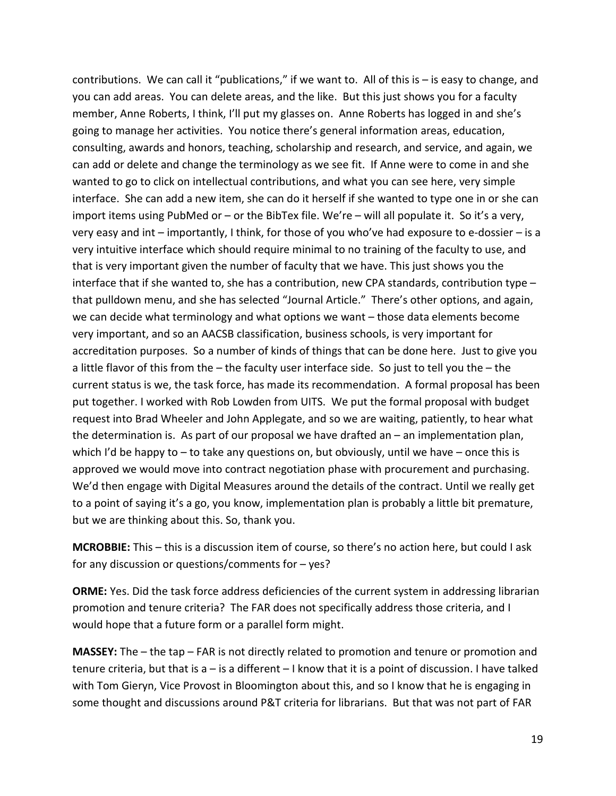contributions. We can call it "publications," if we want to. All of this is – is easy to change, and you can add areas. You can delete areas, and the like. But this just shows you for a faculty member, Anne Roberts, I think, I'll put my glasses on. Anne Roberts has logged in and she's going to manage her activities. You notice there's general information areas, education, consulting, awards and honors, teaching, scholarship and research, and service, and again, we can add or delete and change the terminology as we see fit. If Anne were to come in and she wanted to go to click on intellectual contributions, and what you can see here, very simple interface. She can add a new item, she can do it herself if she wanted to type one in or she can import items using PubMed or – or the BibTex file. We're – will all populate it. So it's a very, very easy and int – importantly, I think, for those of you who've had exposure to e-dossier – is a very intuitive interface which should require minimal to no training of the faculty to use, and that is very important given the number of faculty that we have. This just shows you the interface that if she wanted to, she has a contribution, new CPA standards, contribution type – that pulldown menu, and she has selected "Journal Article." There's other options, and again, we can decide what terminology and what options we want – those data elements become very important, and so an AACSB classification, business schools, is very important for accreditation purposes. So a number of kinds of things that can be done here. Just to give you a little flavor of this from the – the faculty user interface side. So just to tell you the – the current status is we, the task force, has made its recommendation. A formal proposal has been put together. I worked with Rob Lowden from UITS. We put the formal proposal with budget request into Brad Wheeler and John Applegate, and so we are waiting, patiently, to hear what the determination is. As part of our proposal we have drafted an – an implementation plan, which I'd be happy to  $-$  to take any questions on, but obviously, until we have  $-$  once this is approved we would move into contract negotiation phase with procurement and purchasing. We'd then engage with Digital Measures around the details of the contract. Until we really get to a point of saying it's a go, you know, implementation plan is probably a little bit premature, but we are thinking about this. So, thank you.

**MCROBBIE:** This – this is a discussion item of course, so there's no action here, but could I ask for any discussion or questions/comments for – yes?

**ORME:** Yes. Did the task force address deficiencies of the current system in addressing librarian promotion and tenure criteria? The FAR does not specifically address those criteria, and I would hope that a future form or a parallel form might.

**MASSEY:** The – the tap – FAR is not directly related to promotion and tenure or promotion and tenure criteria, but that is a – is a different – I know that it is a point of discussion. I have talked with Tom Gieryn, Vice Provost in Bloomington about this, and so I know that he is engaging in some thought and discussions around P&T criteria for librarians. But that was not part of FAR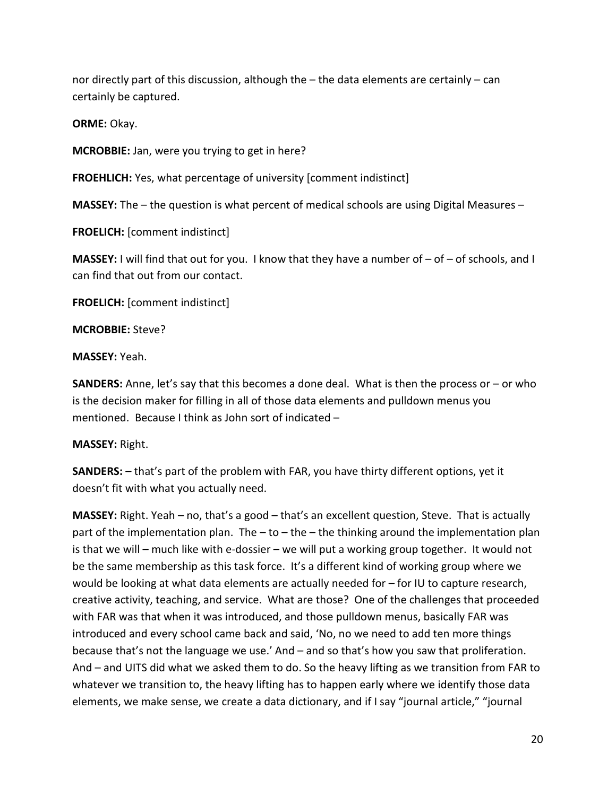nor directly part of this discussion, although the – the data elements are certainly – can certainly be captured.

**ORME:** Okay.

**MCROBBIE:** Jan, were you trying to get in here?

**FROEHLICH:** Yes, what percentage of university [comment indistinct]

**MASSEY:** The – the question is what percent of medical schools are using Digital Measures –

**FROELICH:** [comment indistinct]

**MASSEY:** I will find that out for you. I know that they have a number of – of – of schools, and I can find that out from our contact.

**FROELICH:** [comment indistinct]

**MCROBBIE:** Steve?

**MASSEY:** Yeah.

**SANDERS:** Anne, let's say that this becomes a done deal. What is then the process or – or who is the decision maker for filling in all of those data elements and pulldown menus you mentioned. Because I think as John sort of indicated –

#### **MASSEY:** Right.

**SANDERS:** – that's part of the problem with FAR, you have thirty different options, yet it doesn't fit with what you actually need.

**MASSEY:** Right. Yeah – no, that's a good – that's an excellent question, Steve. That is actually part of the implementation plan. The  $-$  to  $-$  the  $-$  the thinking around the implementation plan is that we will – much like with e-dossier – we will put a working group together. It would not be the same membership as this task force. It's a different kind of working group where we would be looking at what data elements are actually needed for – for IU to capture research, creative activity, teaching, and service. What are those? One of the challenges that proceeded with FAR was that when it was introduced, and those pulldown menus, basically FAR was introduced and every school came back and said, 'No, no we need to add ten more things because that's not the language we use.' And – and so that's how you saw that proliferation. And – and UITS did what we asked them to do. So the heavy lifting as we transition from FAR to whatever we transition to, the heavy lifting has to happen early where we identify those data elements, we make sense, we create a data dictionary, and if I say "journal article," "journal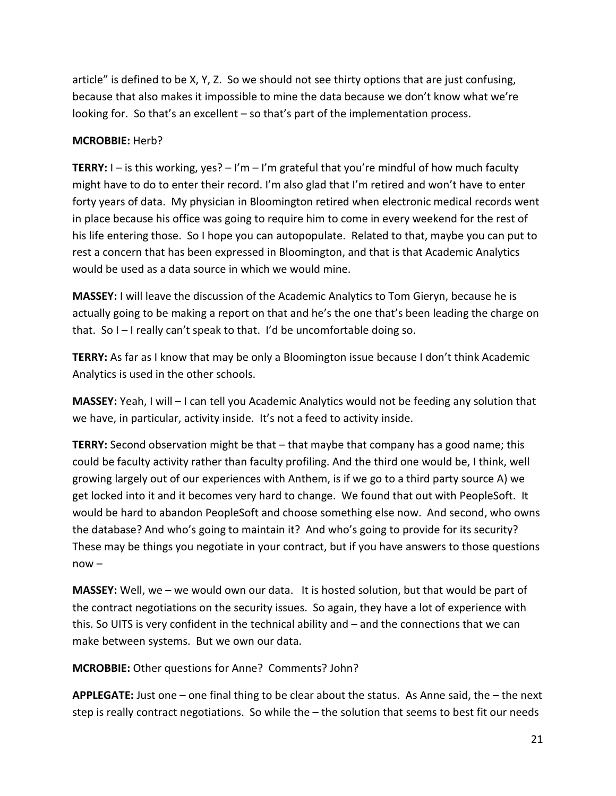article" is defined to be X, Y, Z. So we should not see thirty options that are just confusing, because that also makes it impossible to mine the data because we don't know what we're looking for. So that's an excellent – so that's part of the implementation process.

### **MCROBBIE:** Herb?

**TERRY:** I – is this working, yes? – I'm – I'm grateful that you're mindful of how much faculty might have to do to enter their record. I'm also glad that I'm retired and won't have to enter forty years of data. My physician in Bloomington retired when electronic medical records went in place because his office was going to require him to come in every weekend for the rest of his life entering those. So I hope you can autopopulate. Related to that, maybe you can put to rest a concern that has been expressed in Bloomington, and that is that Academic Analytics would be used as a data source in which we would mine.

**MASSEY:** I will leave the discussion of the Academic Analytics to Tom Gieryn, because he is actually going to be making a report on that and he's the one that's been leading the charge on that. So I – I really can't speak to that. I'd be uncomfortable doing so.

**TERRY:** As far as I know that may be only a Bloomington issue because I don't think Academic Analytics is used in the other schools.

**MASSEY:** Yeah, I will – I can tell you Academic Analytics would not be feeding any solution that we have, in particular, activity inside. It's not a feed to activity inside.

**TERRY:** Second observation might be that – that maybe that company has a good name; this could be faculty activity rather than faculty profiling. And the third one would be, I think, well growing largely out of our experiences with Anthem, is if we go to a third party source A) we get locked into it and it becomes very hard to change. We found that out with PeopleSoft. It would be hard to abandon PeopleSoft and choose something else now. And second, who owns the database? And who's going to maintain it? And who's going to provide for its security? These may be things you negotiate in your contract, but if you have answers to those questions now –

**MASSEY:** Well, we – we would own our data. It is hosted solution, but that would be part of the contract negotiations on the security issues. So again, they have a lot of experience with this. So UITS is very confident in the technical ability and – and the connections that we can make between systems. But we own our data.

**MCROBBIE:** Other questions for Anne? Comments? John?

**APPLEGATE:** Just one – one final thing to be clear about the status. As Anne said, the – the next step is really contract negotiations. So while the – the solution that seems to best fit our needs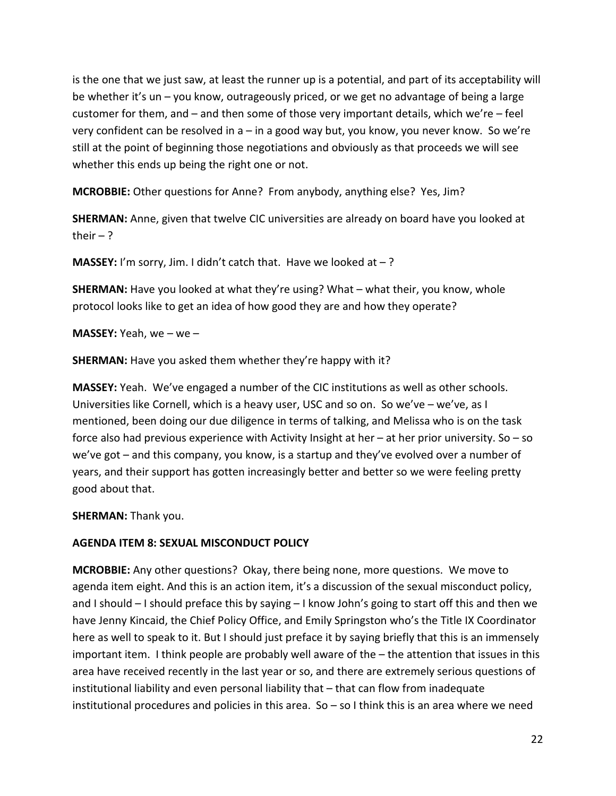is the one that we just saw, at least the runner up is a potential, and part of its acceptability will be whether it's un – you know, outrageously priced, or we get no advantage of being a large customer for them, and – and then some of those very important details, which we're – feel very confident can be resolved in a – in a good way but, you know, you never know. So we're still at the point of beginning those negotiations and obviously as that proceeds we will see whether this ends up being the right one or not.

**MCROBBIE:** Other questions for Anne? From anybody, anything else? Yes, Jim?

**SHERMAN:** Anne, given that twelve CIC universities are already on board have you looked at their  $-$  ?

**MASSEY:** I'm sorry, Jim. I didn't catch that. Have we looked at  $-$ ?

**SHERMAN:** Have you looked at what they're using? What – what their, you know, whole protocol looks like to get an idea of how good they are and how they operate?

**MASSEY:** Yeah, we – we –

**SHERMAN:** Have you asked them whether they're happy with it?

**MASSEY:** Yeah. We've engaged a number of the CIC institutions as well as other schools. Universities like Cornell, which is a heavy user, USC and so on. So we've – we've, as I mentioned, been doing our due diligence in terms of talking, and Melissa who is on the task force also had previous experience with Activity Insight at her – at her prior university. So – so we've got – and this company, you know, is a startup and they've evolved over a number of years, and their support has gotten increasingly better and better so we were feeling pretty good about that.

**SHERMAN:** Thank you.

## **AGENDA ITEM 8: SEXUAL MISCONDUCT POLICY**

**MCROBBIE:** Any other questions? Okay, there being none, more questions. We move to agenda item eight. And this is an action item, it's a discussion of the sexual misconduct policy, and I should – I should preface this by saying – I know John's going to start off this and then we have Jenny Kincaid, the Chief Policy Office, and Emily Springston who's the Title IX Coordinator here as well to speak to it. But I should just preface it by saying briefly that this is an immensely important item. I think people are probably well aware of the – the attention that issues in this area have received recently in the last year or so, and there are extremely serious questions of institutional liability and even personal liability that – that can flow from inadequate institutional procedures and policies in this area. So – so I think this is an area where we need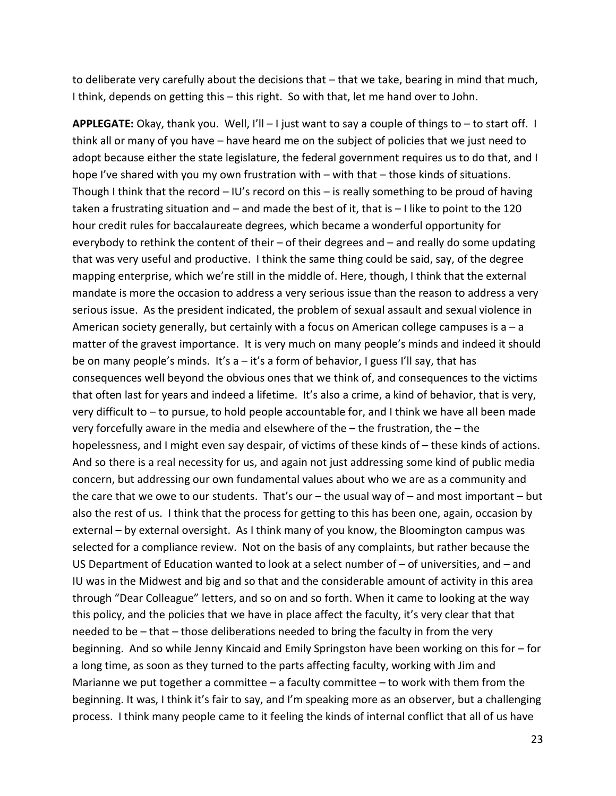to deliberate very carefully about the decisions that – that we take, bearing in mind that much, I think, depends on getting this – this right. So with that, let me hand over to John.

**APPLEGATE:** Okay, thank you. Well, I'll – I just want to say a couple of things to – to start off. I think all or many of you have – have heard me on the subject of policies that we just need to adopt because either the state legislature, the federal government requires us to do that, and I hope I've shared with you my own frustration with – with that – those kinds of situations. Though I think that the record – IU's record on this – is really something to be proud of having taken a frustrating situation and – and made the best of it, that is – I like to point to the 120 hour credit rules for baccalaureate degrees, which became a wonderful opportunity for everybody to rethink the content of their – of their degrees and – and really do some updating that was very useful and productive. I think the same thing could be said, say, of the degree mapping enterprise, which we're still in the middle of. Here, though, I think that the external mandate is more the occasion to address a very serious issue than the reason to address a very serious issue. As the president indicated, the problem of sexual assault and sexual violence in American society generally, but certainly with a focus on American college campuses is  $a - a$ matter of the gravest importance. It is very much on many people's minds and indeed it should be on many people's minds. It's a – it's a form of behavior, I guess I'll say, that has consequences well beyond the obvious ones that we think of, and consequences to the victims that often last for years and indeed a lifetime. It's also a crime, a kind of behavior, that is very, very difficult to – to pursue, to hold people accountable for, and I think we have all been made very forcefully aware in the media and elsewhere of the – the frustration, the – the hopelessness, and I might even say despair, of victims of these kinds of – these kinds of actions. And so there is a real necessity for us, and again not just addressing some kind of public media concern, but addressing our own fundamental values about who we are as a community and the care that we owe to our students. That's our – the usual way of – and most important – but also the rest of us. I think that the process for getting to this has been one, again, occasion by external – by external oversight. As I think many of you know, the Bloomington campus was selected for a compliance review. Not on the basis of any complaints, but rather because the US Department of Education wanted to look at a select number of – of universities, and – and IU was in the Midwest and big and so that and the considerable amount of activity in this area through "Dear Colleague" letters, and so on and so forth. When it came to looking at the way this policy, and the policies that we have in place affect the faculty, it's very clear that that needed to be – that – those deliberations needed to bring the faculty in from the very beginning. And so while Jenny Kincaid and Emily Springston have been working on this for – for a long time, as soon as they turned to the parts affecting faculty, working with Jim and Marianne we put together a committee – a faculty committee – to work with them from the beginning. It was, I think it's fair to say, and I'm speaking more as an observer, but a challenging process. I think many people came to it feeling the kinds of internal conflict that all of us have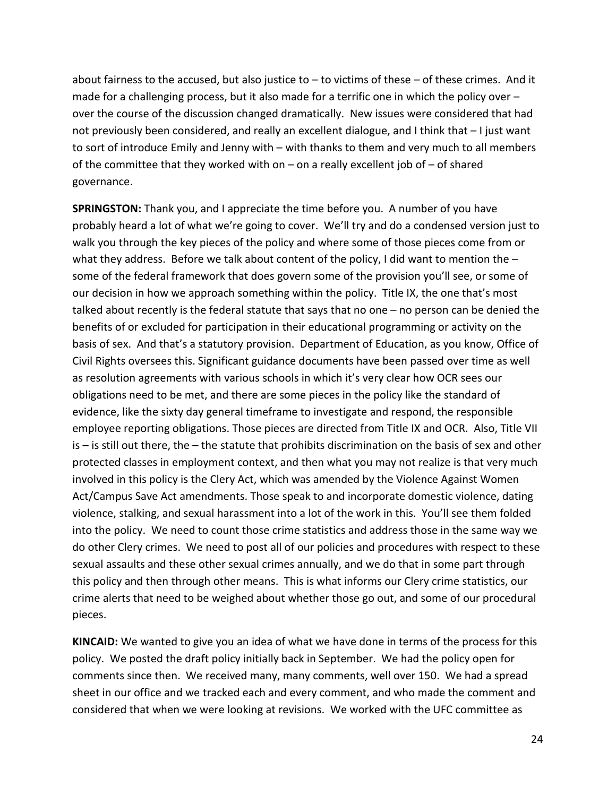about fairness to the accused, but also justice to  $-$  to victims of these  $-$  of these crimes. And it made for a challenging process, but it also made for a terrific one in which the policy over – over the course of the discussion changed dramatically. New issues were considered that had not previously been considered, and really an excellent dialogue, and I think that – I just want to sort of introduce Emily and Jenny with – with thanks to them and very much to all members of the committee that they worked with on  $-$  on a really excellent job of  $-$  of shared governance.

**SPRINGSTON:** Thank you, and I appreciate the time before you. A number of you have probably heard a lot of what we're going to cover. We'll try and do a condensed version just to walk you through the key pieces of the policy and where some of those pieces come from or what they address. Before we talk about content of the policy, I did want to mention the some of the federal framework that does govern some of the provision you'll see, or some of our decision in how we approach something within the policy. Title IX, the one that's most talked about recently is the federal statute that says that no one – no person can be denied the benefits of or excluded for participation in their educational programming or activity on the basis of sex. And that's a statutory provision. Department of Education, as you know, Office of Civil Rights oversees this. Significant guidance documents have been passed over time as well as resolution agreements with various schools in which it's very clear how OCR sees our obligations need to be met, and there are some pieces in the policy like the standard of evidence, like the sixty day general timeframe to investigate and respond, the responsible employee reporting obligations. Those pieces are directed from Title IX and OCR. Also, Title VII is – is still out there, the – the statute that prohibits discrimination on the basis of sex and other protected classes in employment context, and then what you may not realize is that very much involved in this policy is the Clery Act, which was amended by the Violence Against Women Act/Campus Save Act amendments. Those speak to and incorporate domestic violence, dating violence, stalking, and sexual harassment into a lot of the work in this. You'll see them folded into the policy. We need to count those crime statistics and address those in the same way we do other Clery crimes. We need to post all of our policies and procedures with respect to these sexual assaults and these other sexual crimes annually, and we do that in some part through this policy and then through other means. This is what informs our Clery crime statistics, our crime alerts that need to be weighed about whether those go out, and some of our procedural pieces.

**KINCAID:** We wanted to give you an idea of what we have done in terms of the process for this policy. We posted the draft policy initially back in September. We had the policy open for comments since then. We received many, many comments, well over 150. We had a spread sheet in our office and we tracked each and every comment, and who made the comment and considered that when we were looking at revisions. We worked with the UFC committee as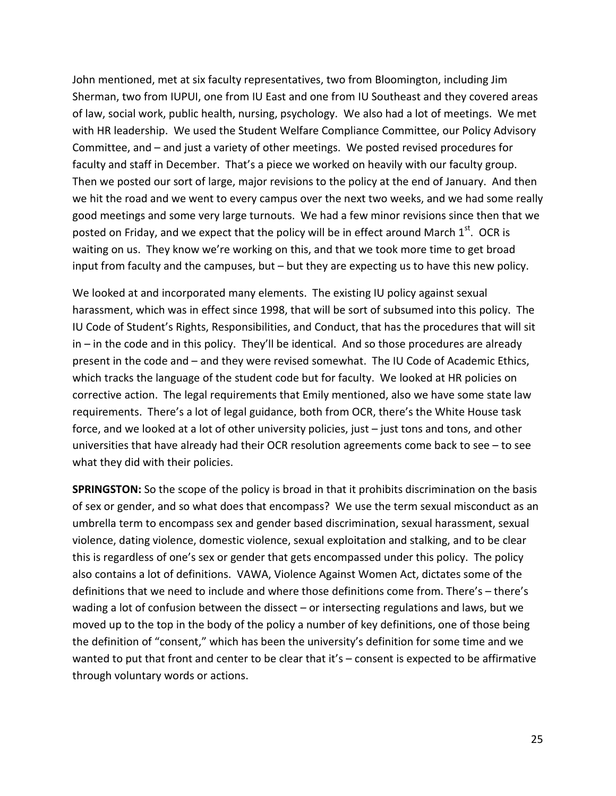John mentioned, met at six faculty representatives, two from Bloomington, including Jim Sherman, two from IUPUI, one from IU East and one from IU Southeast and they covered areas of law, social work, public health, nursing, psychology. We also had a lot of meetings. We met with HR leadership. We used the Student Welfare Compliance Committee, our Policy Advisory Committee, and – and just a variety of other meetings. We posted revised procedures for faculty and staff in December. That's a piece we worked on heavily with our faculty group. Then we posted our sort of large, major revisions to the policy at the end of January. And then we hit the road and we went to every campus over the next two weeks, and we had some really good meetings and some very large turnouts. We had a few minor revisions since then that we posted on Friday, and we expect that the policy will be in effect around March  $1<sup>st</sup>$ . OCR is waiting on us. They know we're working on this, and that we took more time to get broad input from faculty and the campuses, but – but they are expecting us to have this new policy.

We looked at and incorporated many elements. The existing IU policy against sexual harassment, which was in effect since 1998, that will be sort of subsumed into this policy. The IU Code of Student's Rights, Responsibilities, and Conduct, that has the procedures that will sit in – in the code and in this policy. They'll be identical. And so those procedures are already present in the code and – and they were revised somewhat. The IU Code of Academic Ethics, which tracks the language of the student code but for faculty. We looked at HR policies on corrective action. The legal requirements that Emily mentioned, also we have some state law requirements. There's a lot of legal guidance, both from OCR, there's the White House task force, and we looked at a lot of other university policies, just – just tons and tons, and other universities that have already had their OCR resolution agreements come back to see – to see what they did with their policies.

**SPRINGSTON:** So the scope of the policy is broad in that it prohibits discrimination on the basis of sex or gender, and so what does that encompass? We use the term sexual misconduct as an umbrella term to encompass sex and gender based discrimination, sexual harassment, sexual violence, dating violence, domestic violence, sexual exploitation and stalking, and to be clear this is regardless of one's sex or gender that gets encompassed under this policy. The policy also contains a lot of definitions. VAWA, Violence Against Women Act, dictates some of the definitions that we need to include and where those definitions come from. There's – there's wading a lot of confusion between the dissect – or intersecting regulations and laws, but we moved up to the top in the body of the policy a number of key definitions, one of those being the definition of "consent," which has been the university's definition for some time and we wanted to put that front and center to be clear that it's - consent is expected to be affirmative through voluntary words or actions.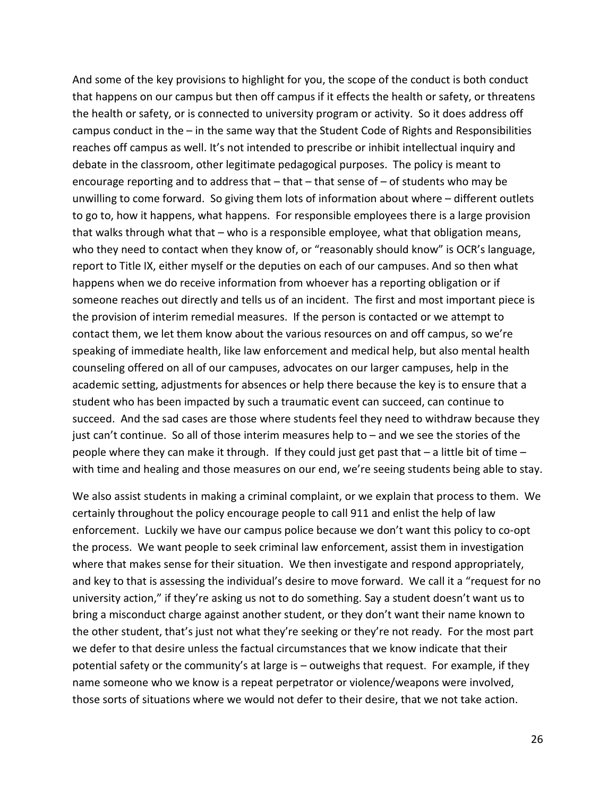And some of the key provisions to highlight for you, the scope of the conduct is both conduct that happens on our campus but then off campus if it effects the health or safety, or threatens the health or safety, or is connected to university program or activity. So it does address off campus conduct in the – in the same way that the Student Code of Rights and Responsibilities reaches off campus as well. It's not intended to prescribe or inhibit intellectual inquiry and debate in the classroom, other legitimate pedagogical purposes. The policy is meant to encourage reporting and to address that  $-$  that  $-$  that sense of  $-$  of students who may be unwilling to come forward. So giving them lots of information about where – different outlets to go to, how it happens, what happens. For responsible employees there is a large provision that walks through what that – who is a responsible employee, what that obligation means, who they need to contact when they know of, or "reasonably should know" is OCR's language, report to Title IX, either myself or the deputies on each of our campuses. And so then what happens when we do receive information from whoever has a reporting obligation or if someone reaches out directly and tells us of an incident. The first and most important piece is the provision of interim remedial measures. If the person is contacted or we attempt to contact them, we let them know about the various resources on and off campus, so we're speaking of immediate health, like law enforcement and medical help, but also mental health counseling offered on all of our campuses, advocates on our larger campuses, help in the academic setting, adjustments for absences or help there because the key is to ensure that a student who has been impacted by such a traumatic event can succeed, can continue to succeed. And the sad cases are those where students feel they need to withdraw because they just can't continue. So all of those interim measures help to – and we see the stories of the people where they can make it through. If they could just get past that – a little bit of time – with time and healing and those measures on our end, we're seeing students being able to stay.

We also assist students in making a criminal complaint, or we explain that process to them. We certainly throughout the policy encourage people to call 911 and enlist the help of law enforcement. Luckily we have our campus police because we don't want this policy to co-opt the process. We want people to seek criminal law enforcement, assist them in investigation where that makes sense for their situation. We then investigate and respond appropriately, and key to that is assessing the individual's desire to move forward. We call it a "request for no university action," if they're asking us not to do something. Say a student doesn't want us to bring a misconduct charge against another student, or they don't want their name known to the other student, that's just not what they're seeking or they're not ready. For the most part we defer to that desire unless the factual circumstances that we know indicate that their potential safety or the community's at large is – outweighs that request. For example, if they name someone who we know is a repeat perpetrator or violence/weapons were involved, those sorts of situations where we would not defer to their desire, that we not take action.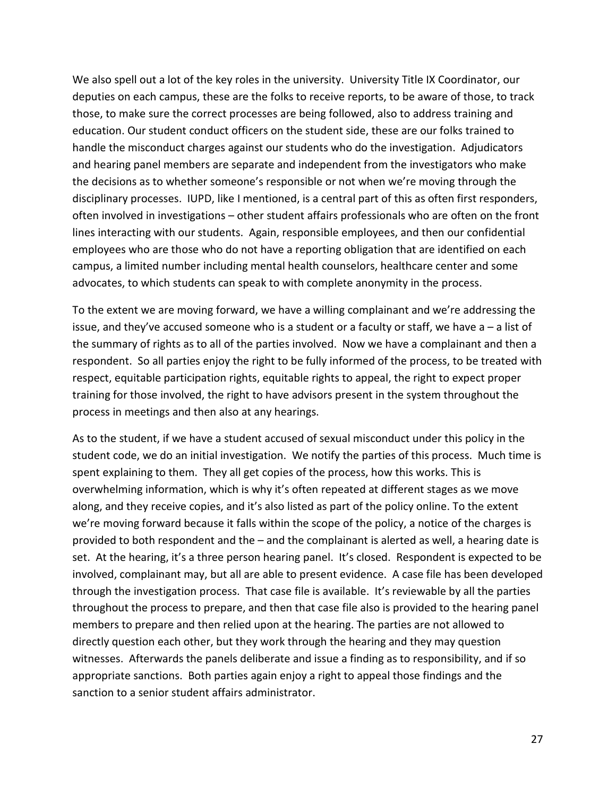We also spell out a lot of the key roles in the university. University Title IX Coordinator, our deputies on each campus, these are the folks to receive reports, to be aware of those, to track those, to make sure the correct processes are being followed, also to address training and education. Our student conduct officers on the student side, these are our folks trained to handle the misconduct charges against our students who do the investigation. Adjudicators and hearing panel members are separate and independent from the investigators who make the decisions as to whether someone's responsible or not when we're moving through the disciplinary processes. IUPD, like I mentioned, is a central part of this as often first responders, often involved in investigations – other student affairs professionals who are often on the front lines interacting with our students. Again, responsible employees, and then our confidential employees who are those who do not have a reporting obligation that are identified on each campus, a limited number including mental health counselors, healthcare center and some advocates, to which students can speak to with complete anonymity in the process.

To the extent we are moving forward, we have a willing complainant and we're addressing the issue, and they've accused someone who is a student or a faculty or staff, we have a – a list of the summary of rights as to all of the parties involved. Now we have a complainant and then a respondent. So all parties enjoy the right to be fully informed of the process, to be treated with respect, equitable participation rights, equitable rights to appeal, the right to expect proper training for those involved, the right to have advisors present in the system throughout the process in meetings and then also at any hearings.

As to the student, if we have a student accused of sexual misconduct under this policy in the student code, we do an initial investigation. We notify the parties of this process. Much time is spent explaining to them. They all get copies of the process, how this works. This is overwhelming information, which is why it's often repeated at different stages as we move along, and they receive copies, and it's also listed as part of the policy online. To the extent we're moving forward because it falls within the scope of the policy, a notice of the charges is provided to both respondent and the – and the complainant is alerted as well, a hearing date is set. At the hearing, it's a three person hearing panel. It's closed. Respondent is expected to be involved, complainant may, but all are able to present evidence. A case file has been developed through the investigation process. That case file is available. It's reviewable by all the parties throughout the process to prepare, and then that case file also is provided to the hearing panel members to prepare and then relied upon at the hearing. The parties are not allowed to directly question each other, but they work through the hearing and they may question witnesses. Afterwards the panels deliberate and issue a finding as to responsibility, and if so appropriate sanctions. Both parties again enjoy a right to appeal those findings and the sanction to a senior student affairs administrator.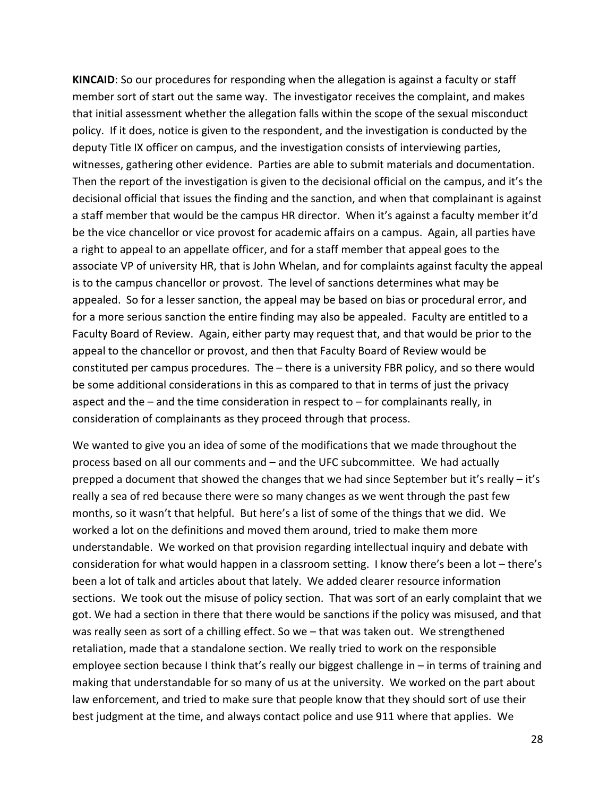**KINCAID**: So our procedures for responding when the allegation is against a faculty or staff member sort of start out the same way. The investigator receives the complaint, and makes that initial assessment whether the allegation falls within the scope of the sexual misconduct policy. If it does, notice is given to the respondent, and the investigation is conducted by the deputy Title IX officer on campus, and the investigation consists of interviewing parties, witnesses, gathering other evidence. Parties are able to submit materials and documentation. Then the report of the investigation is given to the decisional official on the campus, and it's the decisional official that issues the finding and the sanction, and when that complainant is against a staff member that would be the campus HR director. When it's against a faculty member it'd be the vice chancellor or vice provost for academic affairs on a campus. Again, all parties have a right to appeal to an appellate officer, and for a staff member that appeal goes to the associate VP of university HR, that is John Whelan, and for complaints against faculty the appeal is to the campus chancellor or provost. The level of sanctions determines what may be appealed. So for a lesser sanction, the appeal may be based on bias or procedural error, and for a more serious sanction the entire finding may also be appealed. Faculty are entitled to a Faculty Board of Review. Again, either party may request that, and that would be prior to the appeal to the chancellor or provost, and then that Faculty Board of Review would be constituted per campus procedures. The – there is a university FBR policy, and so there would be some additional considerations in this as compared to that in terms of just the privacy aspect and the  $-$  and the time consideration in respect to  $-$  for complainants really, in consideration of complainants as they proceed through that process.

We wanted to give you an idea of some of the modifications that we made throughout the process based on all our comments and – and the UFC subcommittee. We had actually prepped a document that showed the changes that we had since September but it's really – it's really a sea of red because there were so many changes as we went through the past few months, so it wasn't that helpful. But here's a list of some of the things that we did. We worked a lot on the definitions and moved them around, tried to make them more understandable. We worked on that provision regarding intellectual inquiry and debate with consideration for what would happen in a classroom setting. I know there's been a lot – there's been a lot of talk and articles about that lately. We added clearer resource information sections. We took out the misuse of policy section. That was sort of an early complaint that we got. We had a section in there that there would be sanctions if the policy was misused, and that was really seen as sort of a chilling effect. So we – that was taken out. We strengthened retaliation, made that a standalone section. We really tried to work on the responsible employee section because I think that's really our biggest challenge in – in terms of training and making that understandable for so many of us at the university. We worked on the part about law enforcement, and tried to make sure that people know that they should sort of use their best judgment at the time, and always contact police and use 911 where that applies. We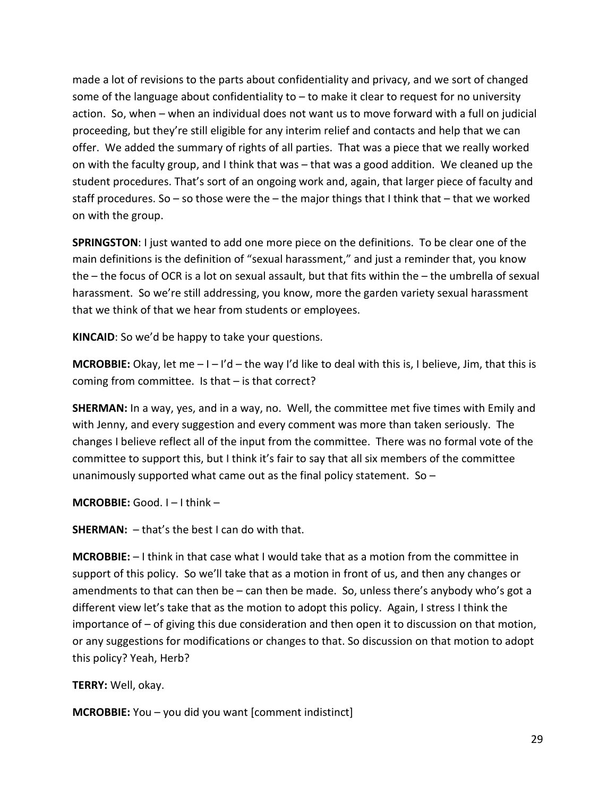made a lot of revisions to the parts about confidentiality and privacy, and we sort of changed some of the language about confidentiality to – to make it clear to request for no university action. So, when – when an individual does not want us to move forward with a full on judicial proceeding, but they're still eligible for any interim relief and contacts and help that we can offer. We added the summary of rights of all parties. That was a piece that we really worked on with the faculty group, and I think that was – that was a good addition. We cleaned up the student procedures. That's sort of an ongoing work and, again, that larger piece of faculty and staff procedures. So  $-$  so those were the  $-$  the major things that I think that  $-$  that we worked on with the group.

**SPRINGSTON**: I just wanted to add one more piece on the definitions. To be clear one of the main definitions is the definition of "sexual harassment," and just a reminder that, you know the – the focus of OCR is a lot on sexual assault, but that fits within the – the umbrella of sexual harassment. So we're still addressing, you know, more the garden variety sexual harassment that we think of that we hear from students or employees.

**KINCAID**: So we'd be happy to take your questions.

**MCROBBIE:** Okay, let me – I – I'd – the way I'd like to deal with this is, I believe, Jim, that this is coming from committee. Is that – is that correct?

**SHERMAN:** In a way, yes, and in a way, no. Well, the committee met five times with Emily and with Jenny, and every suggestion and every comment was more than taken seriously. The changes I believe reflect all of the input from the committee. There was no formal vote of the committee to support this, but I think it's fair to say that all six members of the committee unanimously supported what came out as the final policy statement. So  $-$ 

**MCROBBIE:** Good. I – I think –

**SHERMAN:**  $-$  that's the best I can do with that.

**MCROBBIE:** – I think in that case what I would take that as a motion from the committee in support of this policy. So we'll take that as a motion in front of us, and then any changes or amendments to that can then be – can then be made. So, unless there's anybody who's got a different view let's take that as the motion to adopt this policy. Again, I stress I think the importance of – of giving this due consideration and then open it to discussion on that motion, or any suggestions for modifications or changes to that. So discussion on that motion to adopt this policy? Yeah, Herb?

**TERRY:** Well, okay.

**MCROBBIE:** You – you did you want [comment indistinct]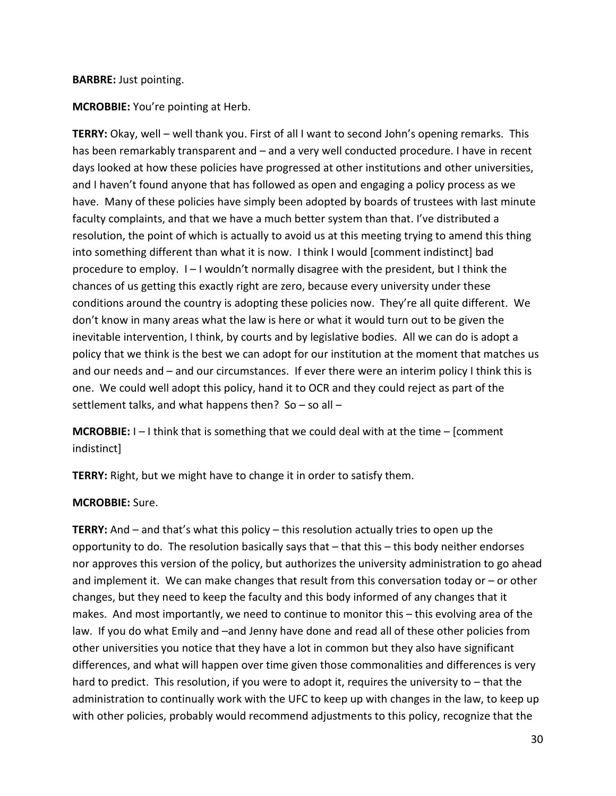#### **BARBRE:** Just pointing.

**MCROBBIE:** You're pointing at Herb.

**TERRY:** Okay, well – well thank you. First of all I want to second John's opening remarks. This has been remarkably transparent and – and a very well conducted procedure. I have in recent days looked at how these policies have progressed at other institutions and other universities, and I haven't found anyone that has followed as open and engaging a policy process as we have. Many of these policies have simply been adopted by boards of trustees with last minute faculty complaints, and that we have a much better system than that. I've distributed a resolution, the point of which is actually to avoid us at this meeting trying to amend this thing into something different than what it is now. I think I would [comment indistinct] bad procedure to employ. I – I wouldn't normally disagree with the president, but I think the chances of us getting this exactly right are zero, because every university under these conditions around the country is adopting these policies now. They're all quite different. We don't know in many areas what the law is here or what it would turn out to be given the inevitable intervention, I think, by courts and by legislative bodies. All we can do is adopt a policy that we think is the best we can adopt for our institution at the moment that matches us and our needs and – and our circumstances. If ever there were an interim policy I think this is one. We could well adopt this policy, hand it to OCR and they could reject as part of the settlement talks, and what happens then? So – so all –

**MCROBBIE:** I – I think that is something that we could deal with at the time – [comment indistinct]

**TERRY:** Right, but we might have to change it in order to satisfy them.

### **MCROBBIE:** Sure.

**TERRY:** And – and that's what this policy – this resolution actually tries to open up the opportunity to do. The resolution basically says that – that this – this body neither endorses nor approves this version of the policy, but authorizes the university administration to go ahead and implement it. We can make changes that result from this conversation today or – or other changes, but they need to keep the faculty and this body informed of any changes that it makes. And most importantly, we need to continue to monitor this – this evolving area of the law. If you do what Emily and –and Jenny have done and read all of these other policies from other universities you notice that they have a lot in common but they also have significant differences, and what will happen over time given those commonalities and differences is very hard to predict. This resolution, if you were to adopt it, requires the university to – that the administration to continually work with the UFC to keep up with changes in the law, to keep up with other policies, probably would recommend adjustments to this policy, recognize that the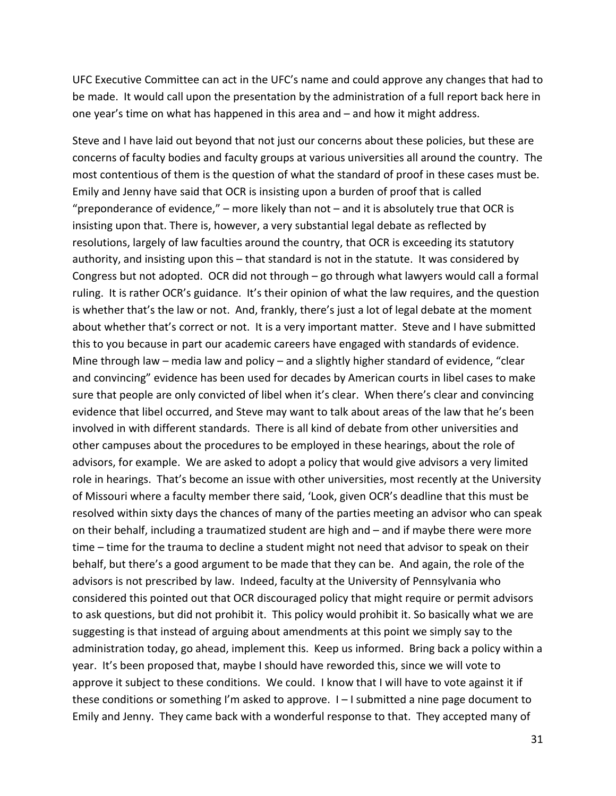UFC Executive Committee can act in the UFC's name and could approve any changes that had to be made. It would call upon the presentation by the administration of a full report back here in one year's time on what has happened in this area and – and how it might address.

Steve and I have laid out beyond that not just our concerns about these policies, but these are concerns of faculty bodies and faculty groups at various universities all around the country. The most contentious of them is the question of what the standard of proof in these cases must be. Emily and Jenny have said that OCR is insisting upon a burden of proof that is called "preponderance of evidence,"  $-$  more likely than not  $-$  and it is absolutely true that OCR is insisting upon that. There is, however, a very substantial legal debate as reflected by resolutions, largely of law faculties around the country, that OCR is exceeding its statutory authority, and insisting upon this – that standard is not in the statute. It was considered by Congress but not adopted. OCR did not through – go through what lawyers would call a formal ruling. It is rather OCR's guidance. It's their opinion of what the law requires, and the question is whether that's the law or not. And, frankly, there's just a lot of legal debate at the moment about whether that's correct or not. It is a very important matter. Steve and I have submitted this to you because in part our academic careers have engaged with standards of evidence. Mine through law – media law and policy – and a slightly higher standard of evidence, "clear and convincing" evidence has been used for decades by American courts in libel cases to make sure that people are only convicted of libel when it's clear. When there's clear and convincing evidence that libel occurred, and Steve may want to talk about areas of the law that he's been involved in with different standards. There is all kind of debate from other universities and other campuses about the procedures to be employed in these hearings, about the role of advisors, for example. We are asked to adopt a policy that would give advisors a very limited role in hearings. That's become an issue with other universities, most recently at the University of Missouri where a faculty member there said, 'Look, given OCR's deadline that this must be resolved within sixty days the chances of many of the parties meeting an advisor who can speak on their behalf, including a traumatized student are high and – and if maybe there were more time – time for the trauma to decline a student might not need that advisor to speak on their behalf, but there's a good argument to be made that they can be. And again, the role of the advisors is not prescribed by law. Indeed, faculty at the University of Pennsylvania who considered this pointed out that OCR discouraged policy that might require or permit advisors to ask questions, but did not prohibit it. This policy would prohibit it. So basically what we are suggesting is that instead of arguing about amendments at this point we simply say to the administration today, go ahead, implement this. Keep us informed. Bring back a policy within a year. It's been proposed that, maybe I should have reworded this, since we will vote to approve it subject to these conditions. We could. I know that I will have to vote against it if these conditions or something I'm asked to approve. I – I submitted a nine page document to Emily and Jenny. They came back with a wonderful response to that. They accepted many of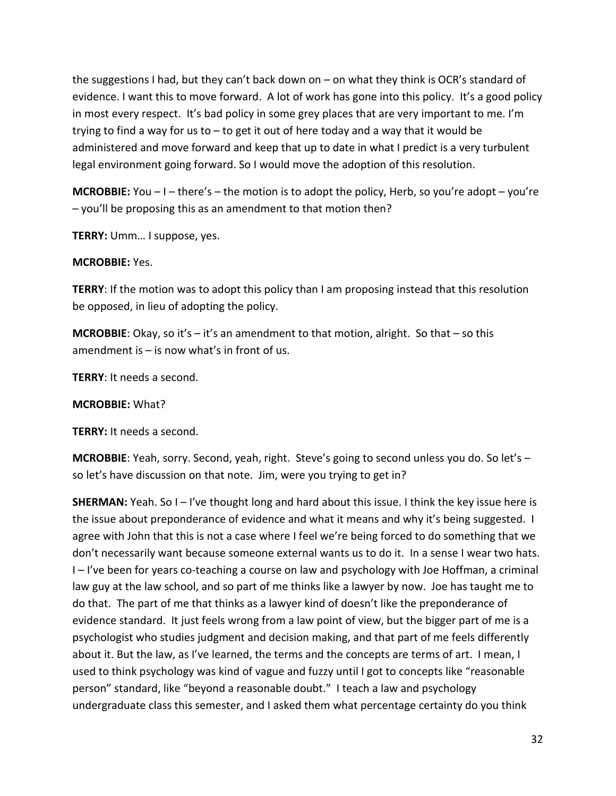the suggestions I had, but they can't back down on – on what they think is OCR's standard of evidence. I want this to move forward. A lot of work has gone into this policy. It's a good policy in most every respect. It's bad policy in some grey places that are very important to me. I'm trying to find a way for us to – to get it out of here today and a way that it would be administered and move forward and keep that up to date in what I predict is a very turbulent legal environment going forward. So I would move the adoption of this resolution.

**MCROBBIE:** You – I – there's – the motion is to adopt the policy, Herb, so you're adopt – you're – you'll be proposing this as an amendment to that motion then?

**TERRY:** Umm… I suppose, yes.

### **MCROBBIE:** Yes.

**TERRY**: If the motion was to adopt this policy than I am proposing instead that this resolution be opposed, in lieu of adopting the policy.

**MCROBBIE**: Okay, so it's – it's an amendment to that motion, alright. So that – so this amendment is – is now what's in front of us.

**TERRY**: It needs a second.

### **MCROBBIE:** What?

**TERRY:** It needs a second.

**MCROBBIE**: Yeah, sorry. Second, yeah, right. Steve's going to second unless you do. So let's – so let's have discussion on that note. Jim, were you trying to get in?

**SHERMAN:** Yeah. So I – I've thought long and hard about this issue. I think the key issue here is the issue about preponderance of evidence and what it means and why it's being suggested. I agree with John that this is not a case where I feel we're being forced to do something that we don't necessarily want because someone external wants us to do it. In a sense I wear two hats. I – I've been for years co-teaching a course on law and psychology with Joe Hoffman, a criminal law guy at the law school, and so part of me thinks like a lawyer by now. Joe has taught me to do that. The part of me that thinks as a lawyer kind of doesn't like the preponderance of evidence standard. It just feels wrong from a law point of view, but the bigger part of me is a psychologist who studies judgment and decision making, and that part of me feels differently about it. But the law, as I've learned, the terms and the concepts are terms of art. I mean, I used to think psychology was kind of vague and fuzzy until I got to concepts like "reasonable person" standard, like "beyond a reasonable doubt." I teach a law and psychology undergraduate class this semester, and I asked them what percentage certainty do you think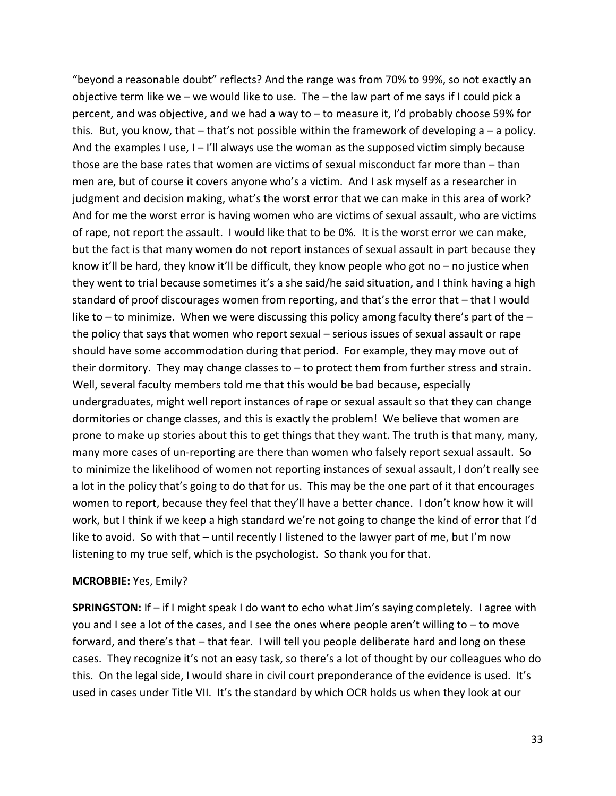"beyond a reasonable doubt" reflects? And the range was from 70% to 99%, so not exactly an objective term like we – we would like to use. The – the law part of me says if I could pick a percent, and was objective, and we had a way to – to measure it, I'd probably choose 59% for this. But, you know, that – that's not possible within the framework of developing a – a policy. And the examples I use,  $I - I'll$  always use the woman as the supposed victim simply because those are the base rates that women are victims of sexual misconduct far more than – than men are, but of course it covers anyone who's a victim. And I ask myself as a researcher in judgment and decision making, what's the worst error that we can make in this area of work? And for me the worst error is having women who are victims of sexual assault, who are victims of rape, not report the assault. I would like that to be 0%. It is the worst error we can make, but the fact is that many women do not report instances of sexual assault in part because they know it'll be hard, they know it'll be difficult, they know people who got no – no justice when they went to trial because sometimes it's a she said/he said situation, and I think having a high standard of proof discourages women from reporting, and that's the error that – that I would like to – to minimize. When we were discussing this policy among faculty there's part of the  $$ the policy that says that women who report sexual – serious issues of sexual assault or rape should have some accommodation during that period. For example, they may move out of their dormitory. They may change classes to – to protect them from further stress and strain. Well, several faculty members told me that this would be bad because, especially undergraduates, might well report instances of rape or sexual assault so that they can change dormitories or change classes, and this is exactly the problem! We believe that women are prone to make up stories about this to get things that they want. The truth is that many, many, many more cases of un-reporting are there than women who falsely report sexual assault. So to minimize the likelihood of women not reporting instances of sexual assault, I don't really see a lot in the policy that's going to do that for us. This may be the one part of it that encourages women to report, because they feel that they'll have a better chance. I don't know how it will work, but I think if we keep a high standard we're not going to change the kind of error that I'd like to avoid. So with that – until recently I listened to the lawyer part of me, but I'm now listening to my true self, which is the psychologist. So thank you for that.

#### **MCROBBIE:** Yes, Emily?

**SPRINGSTON:** If – if I might speak I do want to echo what Jim's saying completely. I agree with you and I see a lot of the cases, and I see the ones where people aren't willing to – to move forward, and there's that – that fear. I will tell you people deliberate hard and long on these cases. They recognize it's not an easy task, so there's a lot of thought by our colleagues who do this. On the legal side, I would share in civil court preponderance of the evidence is used. It's used in cases under Title VII. It's the standard by which OCR holds us when they look at our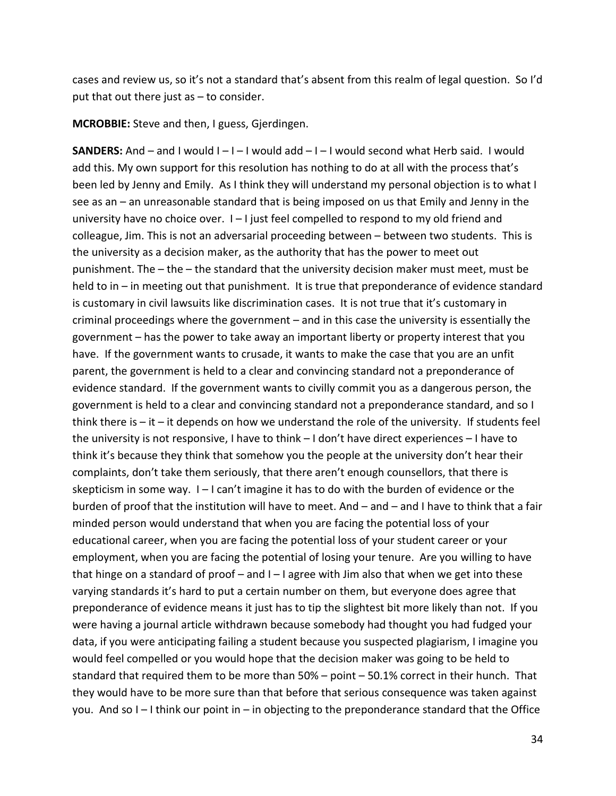cases and review us, so it's not a standard that's absent from this realm of legal question. So I'd put that out there just as – to consider.

**MCROBBIE:** Steve and then, I guess, Gjerdingen.

**SANDERS:** And – and I would I – I – I would add – I – I would second what Herb said. I would add this. My own support for this resolution has nothing to do at all with the process that's been led by Jenny and Emily. As I think they will understand my personal objection is to what I see as an – an unreasonable standard that is being imposed on us that Emily and Jenny in the university have no choice over.  $I - I$  just feel compelled to respond to my old friend and colleague, Jim. This is not an adversarial proceeding between – between two students. This is the university as a decision maker, as the authority that has the power to meet out punishment. The – the – the standard that the university decision maker must meet, must be held to in – in meeting out that punishment. It is true that preponderance of evidence standard is customary in civil lawsuits like discrimination cases. It is not true that it's customary in criminal proceedings where the government – and in this case the university is essentially the government – has the power to take away an important liberty or property interest that you have. If the government wants to crusade, it wants to make the case that you are an unfit parent, the government is held to a clear and convincing standard not a preponderance of evidence standard. If the government wants to civilly commit you as a dangerous person, the government is held to a clear and convincing standard not a preponderance standard, and so I think there is  $-$  it  $-$  it depends on how we understand the role of the university. If students feel the university is not responsive, I have to think – I don't have direct experiences – I have to think it's because they think that somehow you the people at the university don't hear their complaints, don't take them seriously, that there aren't enough counsellors, that there is skepticism in some way. I – I can't imagine it has to do with the burden of evidence or the burden of proof that the institution will have to meet. And – and – and I have to think that a fair minded person would understand that when you are facing the potential loss of your educational career, when you are facing the potential loss of your student career or your employment, when you are facing the potential of losing your tenure. Are you willing to have that hinge on a standard of proof – and I – I agree with Jim also that when we get into these varying standards it's hard to put a certain number on them, but everyone does agree that preponderance of evidence means it just has to tip the slightest bit more likely than not. If you were having a journal article withdrawn because somebody had thought you had fudged your data, if you were anticipating failing a student because you suspected plagiarism, I imagine you would feel compelled or you would hope that the decision maker was going to be held to standard that required them to be more than 50% – point – 50.1% correct in their hunch. That they would have to be more sure than that before that serious consequence was taken against you. And so I – I think our point in – in objecting to the preponderance standard that the Office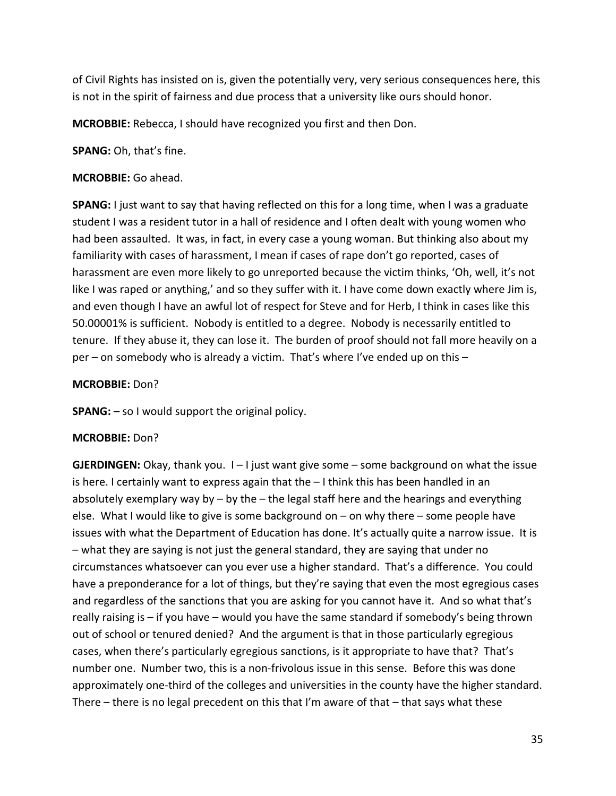of Civil Rights has insisted on is, given the potentially very, very serious consequences here, this is not in the spirit of fairness and due process that a university like ours should honor.

**MCROBBIE:** Rebecca, I should have recognized you first and then Don.

**SPANG:** Oh, that's fine.

### **MCROBBIE:** Go ahead.

**SPANG:** I just want to say that having reflected on this for a long time, when I was a graduate student I was a resident tutor in a hall of residence and I often dealt with young women who had been assaulted. It was, in fact, in every case a young woman. But thinking also about my familiarity with cases of harassment, I mean if cases of rape don't go reported, cases of harassment are even more likely to go unreported because the victim thinks, 'Oh, well, it's not like I was raped or anything,' and so they suffer with it. I have come down exactly where Jim is, and even though I have an awful lot of respect for Steve and for Herb, I think in cases like this 50.00001% is sufficient. Nobody is entitled to a degree. Nobody is necessarily entitled to tenure. If they abuse it, they can lose it. The burden of proof should not fall more heavily on a per – on somebody who is already a victim. That's where I've ended up on this –

### **MCROBBIE:** Don?

**SPANG:** – so I would support the original policy.

### **MCROBBIE:** Don?

**GJERDINGEN:** Okay, thank you. I - I just want give some - some background on what the issue is here. I certainly want to express again that the  $-1$  think this has been handled in an absolutely exemplary way by – by the – the legal staff here and the hearings and everything else. What I would like to give is some background on – on why there – some people have issues with what the Department of Education has done. It's actually quite a narrow issue. It is – what they are saying is not just the general standard, they are saying that under no circumstances whatsoever can you ever use a higher standard. That's a difference. You could have a preponderance for a lot of things, but they're saying that even the most egregious cases and regardless of the sanctions that you are asking for you cannot have it. And so what that's really raising is – if you have – would you have the same standard if somebody's being thrown out of school or tenured denied? And the argument is that in those particularly egregious cases, when there's particularly egregious sanctions, is it appropriate to have that? That's number one. Number two, this is a non-frivolous issue in this sense. Before this was done approximately one-third of the colleges and universities in the county have the higher standard. There – there is no legal precedent on this that I'm aware of that – that says what these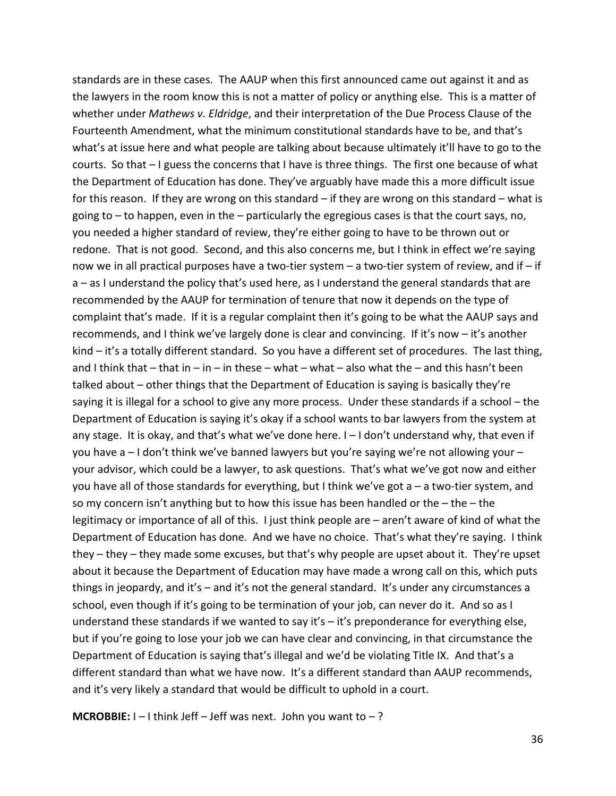standards are in these cases. The AAUP when this first announced came out against it and as the lawyers in the room know this is not a matter of policy or anything else. This is a matter of whether under *Mathews v. Eldridge*, and their interpretation of the Due Process Clause of the Fourteenth Amendment, what the minimum constitutional standards have to be, and that's what's at issue here and what people are talking about because ultimately it'll have to go to the courts. So that – I guess the concerns that I have is three things. The first one because of what the Department of Education has done. They've arguably have made this a more difficult issue for this reason. If they are wrong on this standard – if they are wrong on this standard – what is going to – to happen, even in the – particularly the egregious cases is that the court says, no, you needed a higher standard of review, they're either going to have to be thrown out or redone. That is not good. Second, and this also concerns me, but I think in effect we're saying now we in all practical purposes have a two-tier system – a two-tier system of review, and if – if a – as I understand the policy that's used here, as I understand the general standards that are recommended by the AAUP for termination of tenure that now it depends on the type of complaint that's made. If it is a regular complaint then it's going to be what the AAUP says and recommends, and I think we've largely done is clear and convincing. If it's now – it's another kind – it's a totally different standard. So you have a different set of procedures. The last thing, and I think that  $-$  that in  $-$  in  $-$  in these  $-$  what  $-$  what  $-$  also what the  $-$  and this hasn't been talked about – other things that the Department of Education is saying is basically they're saying it is illegal for a school to give any more process. Under these standards if a school – the Department of Education is saying it's okay if a school wants to bar lawyers from the system at any stage. It is okay, and that's what we've done here. I – I don't understand why, that even if you have a – I don't think we've banned lawyers but you're saying we're not allowing your – your advisor, which could be a lawyer, to ask questions. That's what we've got now and either you have all of those standards for everything, but I think we've got a – a two-tier system, and so my concern isn't anything but to how this issue has been handled or the  $-$  the  $-$  the legitimacy or importance of all of this. I just think people are – aren't aware of kind of what the Department of Education has done. And we have no choice. That's what they're saying. I think they – they – they made some excuses, but that's why people are upset about it. They're upset about it because the Department of Education may have made a wrong call on this, which puts things in jeopardy, and it's – and it's not the general standard. It's under any circumstances a school, even though if it's going to be termination of your job, can never do it. And so as I understand these standards if we wanted to say it's – it's preponderance for everything else, but if you're going to lose your job we can have clear and convincing, in that circumstance the Department of Education is saying that's illegal and we'd be violating Title IX. And that's a different standard than what we have now. It's a different standard than AAUP recommends, and it's very likely a standard that would be difficult to uphold in a court.

**MCROBBIE:**  $I - I$  think Jeff – Jeff was next. John you want to –?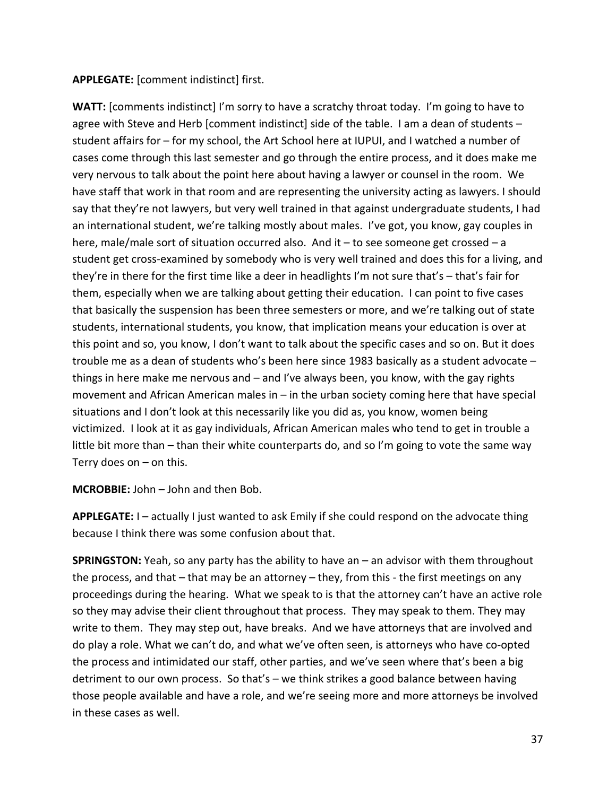### **APPLEGATE:** [comment indistinct] first.

WATT: [comments indistinct] I'm sorry to have a scratchy throat today. I'm going to have to agree with Steve and Herb [comment indistinct] side of the table. I am a dean of students – student affairs for – for my school, the Art School here at IUPUI, and I watched a number of cases come through this last semester and go through the entire process, and it does make me very nervous to talk about the point here about having a lawyer or counsel in the room. We have staff that work in that room and are representing the university acting as lawyers. I should say that they're not lawyers, but very well trained in that against undergraduate students, I had an international student, we're talking mostly about males. I've got, you know, gay couples in here, male/male sort of situation occurred also. And it - to see someone get crossed - a student get cross-examined by somebody who is very well trained and does this for a living, and they're in there for the first time like a deer in headlights I'm not sure that's – that's fair for them, especially when we are talking about getting their education. I can point to five cases that basically the suspension has been three semesters or more, and we're talking out of state students, international students, you know, that implication means your education is over at this point and so, you know, I don't want to talk about the specific cases and so on. But it does trouble me as a dean of students who's been here since 1983 basically as a student advocate – things in here make me nervous and – and I've always been, you know, with the gay rights movement and African American males in – in the urban society coming here that have special situations and I don't look at this necessarily like you did as, you know, women being victimized. I look at it as gay individuals, African American males who tend to get in trouble a little bit more than – than their white counterparts do, and so I'm going to vote the same way Terry does on – on this.

**MCROBBIE:** John – John and then Bob.

**APPLEGATE:** I – actually I just wanted to ask Emily if she could respond on the advocate thing because I think there was some confusion about that.

**SPRINGSTON:** Yeah, so any party has the ability to have an – an advisor with them throughout the process, and that – that may be an attorney – they, from this - the first meetings on any proceedings during the hearing. What we speak to is that the attorney can't have an active role so they may advise their client throughout that process. They may speak to them. They may write to them. They may step out, have breaks. And we have attorneys that are involved and do play a role. What we can't do, and what we've often seen, is attorneys who have co-opted the process and intimidated our staff, other parties, and we've seen where that's been a big detriment to our own process. So that's – we think strikes a good balance between having those people available and have a role, and we're seeing more and more attorneys be involved in these cases as well.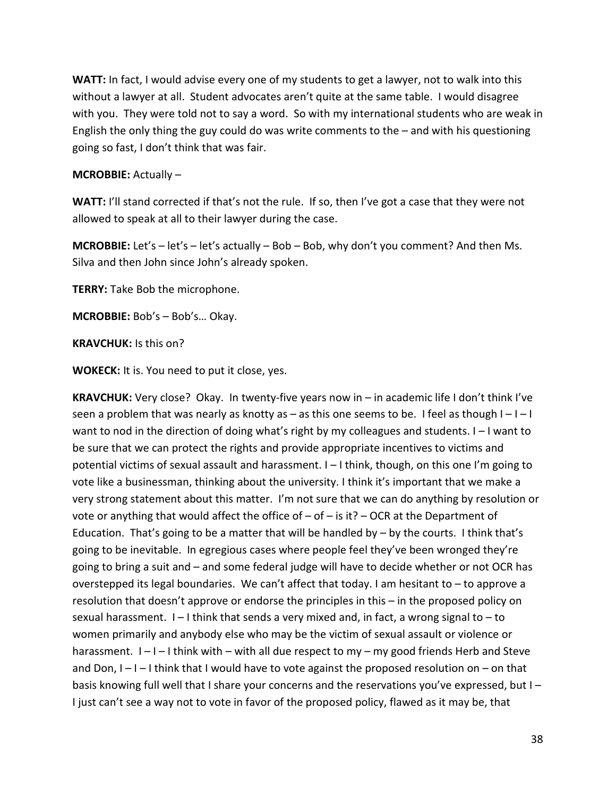**WATT:** In fact, I would advise every one of my students to get a lawyer, not to walk into this without a lawyer at all. Student advocates aren't quite at the same table. I would disagree with you. They were told not to say a word. So with my international students who are weak in English the only thing the guy could do was write comments to the – and with his questioning going so fast, I don't think that was fair.

## **MCROBBIE:** Actually –

**WATT:** I'll stand corrected if that's not the rule. If so, then I've got a case that they were not allowed to speak at all to their lawyer during the case.

**MCROBBIE:** Let's – let's – let's actually – Bob – Bob, why don't you comment? And then Ms. Silva and then John since John's already spoken.

**TERRY:** Take Bob the microphone.

**MCROBBIE:** Bob's – Bob's… Okay.

**KRAVCHUK:** Is this on?

**WOKECK:** It is. You need to put it close, yes.

**KRAVCHUK:** Very close? Okay. In twenty-five years now in – in academic life I don't think I've seen a problem that was nearly as knotty as  $-$  as this one seems to be. I feel as though  $I-I-I$ want to nod in the direction of doing what's right by my colleagues and students. I – I want to be sure that we can protect the rights and provide appropriate incentives to victims and potential victims of sexual assault and harassment. I – I think, though, on this one I'm going to vote like a businessman, thinking about the university. I think it's important that we make a very strong statement about this matter. I'm not sure that we can do anything by resolution or vote or anything that would affect the office of  $-$  of  $-$  is it?  $-$  OCR at the Department of Education. That's going to be a matter that will be handled by – by the courts. I think that's going to be inevitable. In egregious cases where people feel they've been wronged they're going to bring a suit and – and some federal judge will have to decide whether or not OCR has overstepped its legal boundaries. We can't affect that today. I am hesitant to – to approve a resolution that doesn't approve or endorse the principles in this – in the proposed policy on sexual harassment.  $I - I$  think that sends a very mixed and, in fact, a wrong signal to  $-$  to women primarily and anybody else who may be the victim of sexual assault or violence or harassment.  $I - I - I$  think with – with all due respect to my – my good friends Herb and Steve and Don,  $I-I-I$  think that I would have to vote against the proposed resolution on  $-$  on that basis knowing full well that I share your concerns and the reservations you've expressed, but I – I just can't see a way not to vote in favor of the proposed policy, flawed as it may be, that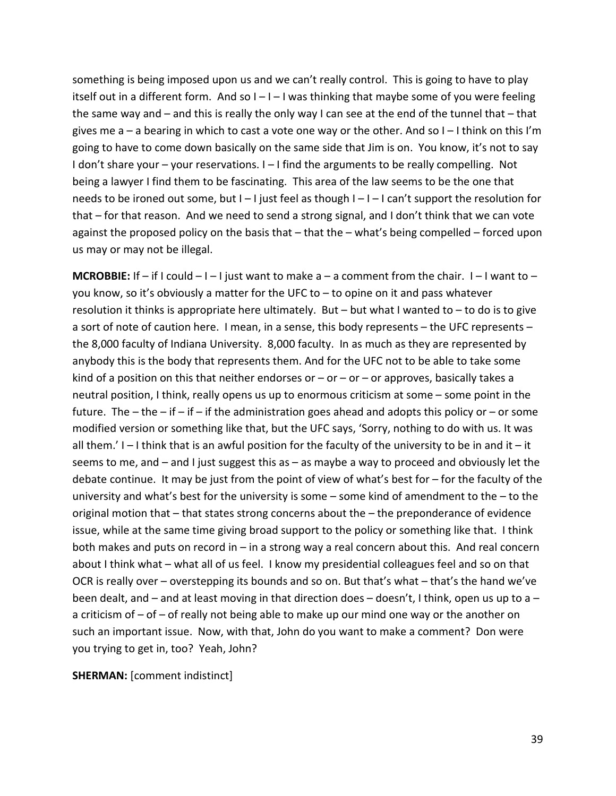something is being imposed upon us and we can't really control. This is going to have to play itself out in a different form. And so  $I - I - I$  was thinking that maybe some of you were feeling the same way and – and this is really the only way I can see at the end of the tunnel that – that gives me  $a - a$  bearing in which to cast a vote one way or the other. And so  $I - I$  think on this I'm going to have to come down basically on the same side that Jim is on. You know, it's not to say I don't share your – your reservations. I – I find the arguments to be really compelling. Not being a lawyer I find them to be fascinating. This area of the law seems to be the one that needs to be ironed out some, but I – I just feel as though I – I – I can't support the resolution for that – for that reason. And we need to send a strong signal, and I don't think that we can vote against the proposed policy on the basis that – that the – what's being compelled – forced upon us may or may not be illegal.

**MCROBBIE:** If – if I could – I – I just want to make a – a comment from the chair. I – I want to – you know, so it's obviously a matter for the UFC to – to opine on it and pass whatever resolution it thinks is appropriate here ultimately. But – but what I wanted to – to do is to give a sort of note of caution here. I mean, in a sense, this body represents – the UFC represents – the 8,000 faculty of Indiana University. 8,000 faculty. In as much as they are represented by anybody this is the body that represents them. And for the UFC not to be able to take some kind of a position on this that neither endorses or  $-$  or  $-$  or  $-$  or approves, basically takes a neutral position, I think, really opens us up to enormous criticism at some – some point in the future. The – the – if – if – if the administration goes ahead and adopts this policy or – or some modified version or something like that, but the UFC says, 'Sorry, nothing to do with us. It was all them.'  $I - I$  think that is an awful position for the faculty of the university to be in and it – it seems to me, and – and I just suggest this as – as maybe a way to proceed and obviously let the debate continue. It may be just from the point of view of what's best for – for the faculty of the university and what's best for the university is some – some kind of amendment to the – to the original motion that – that states strong concerns about the – the preponderance of evidence issue, while at the same time giving broad support to the policy or something like that. I think both makes and puts on record in – in a strong way a real concern about this. And real concern about I think what – what all of us feel. I know my presidential colleagues feel and so on that OCR is really over – overstepping its bounds and so on. But that's what – that's the hand we've been dealt, and – and at least moving in that direction does – doesn't, I think, open us up to a – a criticism of  $-$  of  $-$  of really not being able to make up our mind one way or the another on such an important issue. Now, with that, John do you want to make a comment? Don were you trying to get in, too? Yeah, John?

**SHERMAN:** [comment indistinct]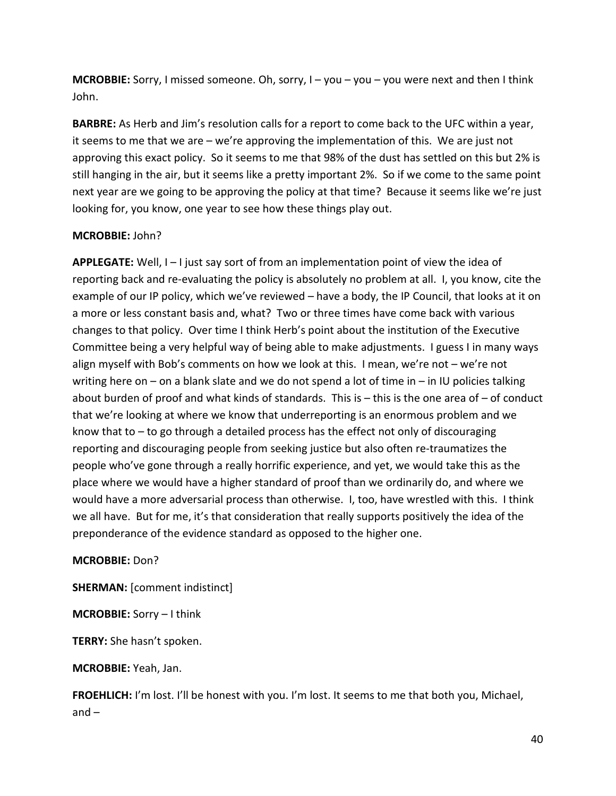**MCROBBIE:** Sorry, I missed someone. Oh, sorry, I – you – you – you were next and then I think John.

**BARBRE:** As Herb and Jim's resolution calls for a report to come back to the UFC within a year, it seems to me that we are – we're approving the implementation of this. We are just not approving this exact policy. So it seems to me that 98% of the dust has settled on this but 2% is still hanging in the air, but it seems like a pretty important 2%. So if we come to the same point next year are we going to be approving the policy at that time? Because it seems like we're just looking for, you know, one year to see how these things play out.

### **MCROBBIE:** John?

**APPLEGATE:** Well, I – I just say sort of from an implementation point of view the idea of reporting back and re-evaluating the policy is absolutely no problem at all. I, you know, cite the example of our IP policy, which we've reviewed – have a body, the IP Council, that looks at it on a more or less constant basis and, what? Two or three times have come back with various changes to that policy. Over time I think Herb's point about the institution of the Executive Committee being a very helpful way of being able to make adjustments. I guess I in many ways align myself with Bob's comments on how we look at this. I mean, we're not – we're not writing here on – on a blank slate and we do not spend a lot of time in – in IU policies talking about burden of proof and what kinds of standards. This is – this is the one area of – of conduct that we're looking at where we know that underreporting is an enormous problem and we know that to  $-$  to go through a detailed process has the effect not only of discouraging reporting and discouraging people from seeking justice but also often re-traumatizes the people who've gone through a really horrific experience, and yet, we would take this as the place where we would have a higher standard of proof than we ordinarily do, and where we would have a more adversarial process than otherwise. I, too, have wrestled with this. I think we all have. But for me, it's that consideration that really supports positively the idea of the preponderance of the evidence standard as opposed to the higher one.

### **MCROBBIE:** Don?

**SHERMAN:** [comment indistinct]

**MCROBBIE:** Sorry – I think

**TERRY:** She hasn't spoken.

**MCROBBIE:** Yeah, Jan.

**FROEHLICH:** I'm lost. I'll be honest with you. I'm lost. It seems to me that both you, Michael, and –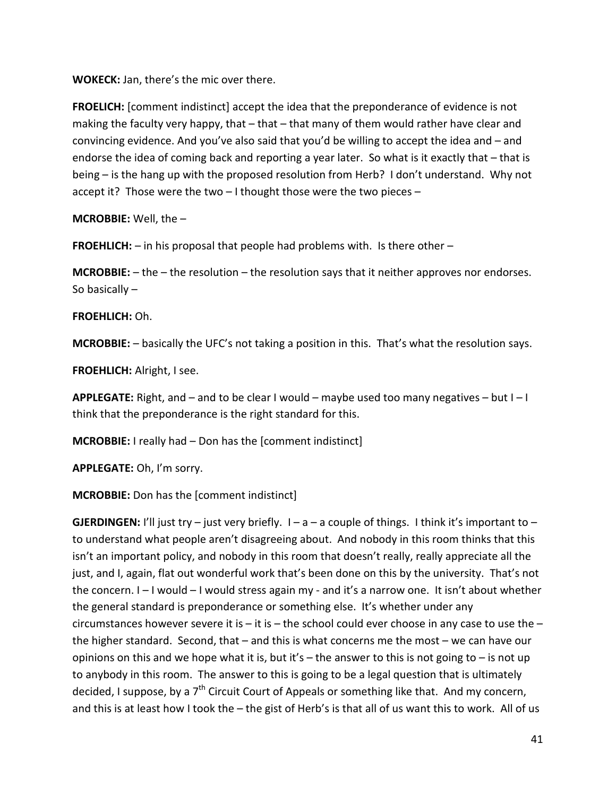**WOKECK:** Jan, there's the mic over there.

**FROELICH:** [comment indistinct] accept the idea that the preponderance of evidence is not making the faculty very happy, that  $-$  that  $-$  that many of them would rather have clear and convincing evidence. And you've also said that you'd be willing to accept the idea and – and endorse the idea of coming back and reporting a year later. So what is it exactly that – that is being – is the hang up with the proposed resolution from Herb? I don't understand. Why not accept it? Those were the two – I thought those were the two pieces –

**MCROBBIE:** Well, the –

**FROEHLICH:** – in his proposal that people had problems with. Is there other –

**MCROBBIE:** – the – the resolution – the resolution says that it neither approves nor endorses. So basically –

### **FROEHLICH:** Oh.

**MCROBBIE:** – basically the UFC's not taking a position in this. That's what the resolution says.

**FROEHLICH:** Alright, I see.

**APPLEGATE:** Right, and – and to be clear I would – maybe used too many negatives – but I – I think that the preponderance is the right standard for this.

**MCROBBIE:** I really had – Don has the [comment indistinct]

**APPLEGATE:** Oh, I'm sorry.

**MCROBBIE:** Don has the [comment indistinct]

**GJERDINGEN:** I'll just try – just very briefly.  $I - a - a$  couple of things. I think it's important to – to understand what people aren't disagreeing about. And nobody in this room thinks that this isn't an important policy, and nobody in this room that doesn't really, really appreciate all the just, and I, again, flat out wonderful work that's been done on this by the university. That's not the concern. I – I would – I would stress again my - and it's a narrow one. It isn't about whether the general standard is preponderance or something else. It's whether under any circumstances however severe it is  $-$  it is  $-$  the school could ever choose in any case to use the  $$ the higher standard. Second, that – and this is what concerns me the most – we can have our opinions on this and we hope what it is, but it's – the answer to this is not going to – is not up to anybody in this room. The answer to this is going to be a legal question that is ultimately decided, I suppose, by a  $7<sup>th</sup>$  Circuit Court of Appeals or something like that. And my concern, and this is at least how I took the – the gist of Herb's is that all of us want this to work. All of us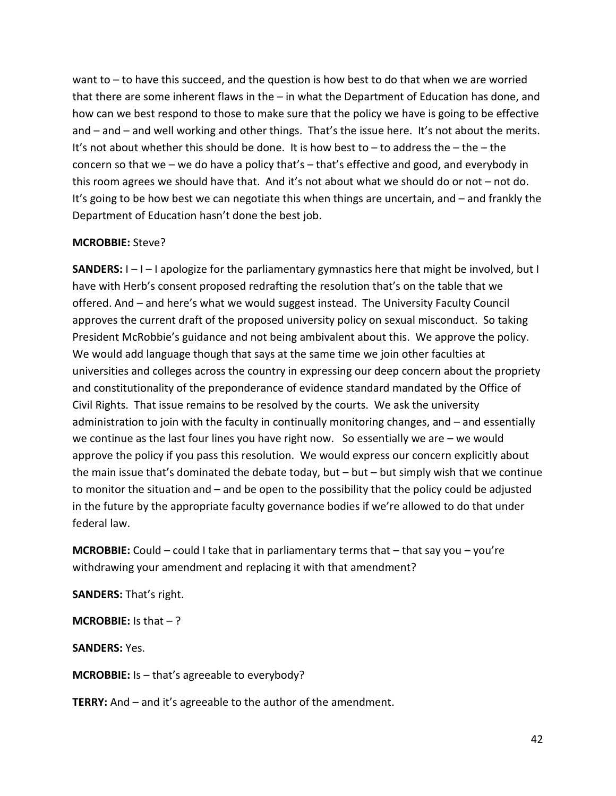want to – to have this succeed, and the question is how best to do that when we are worried that there are some inherent flaws in the – in what the Department of Education has done, and how can we best respond to those to make sure that the policy we have is going to be effective and – and – and well working and other things. That's the issue here. It's not about the merits. It's not about whether this should be done. It is how best to  $-$  to address the  $-$  the  $-$  the concern so that we – we do have a policy that's – that's effective and good, and everybody in this room agrees we should have that. And it's not about what we should do or not – not do. It's going to be how best we can negotiate this when things are uncertain, and – and frankly the Department of Education hasn't done the best job.

#### **MCROBBIE:** Steve?

**SANDERS:** I – I – I apologize for the parliamentary gymnastics here that might be involved, but I have with Herb's consent proposed redrafting the resolution that's on the table that we offered. And – and here's what we would suggest instead. The University Faculty Council approves the current draft of the proposed university policy on sexual misconduct. So taking President McRobbie's guidance and not being ambivalent about this. We approve the policy. We would add language though that says at the same time we join other faculties at universities and colleges across the country in expressing our deep concern about the propriety and constitutionality of the preponderance of evidence standard mandated by the Office of Civil Rights. That issue remains to be resolved by the courts. We ask the university administration to join with the faculty in continually monitoring changes, and – and essentially we continue as the last four lines you have right now. So essentially we are – we would approve the policy if you pass this resolution. We would express our concern explicitly about the main issue that's dominated the debate today, but  $-$  but  $-$  but simply wish that we continue to monitor the situation and – and be open to the possibility that the policy could be adjusted in the future by the appropriate faculty governance bodies if we're allowed to do that under federal law.

**MCROBBIE:** Could – could I take that in parliamentary terms that – that say you – you're withdrawing your amendment and replacing it with that amendment?

**SANDERS:** That's right.

**MCROBBIE:** Is that – ?

**SANDERS:** Yes.

**MCROBBIE:** Is – that's agreeable to everybody?

**TERRY:** And – and it's agreeable to the author of the amendment.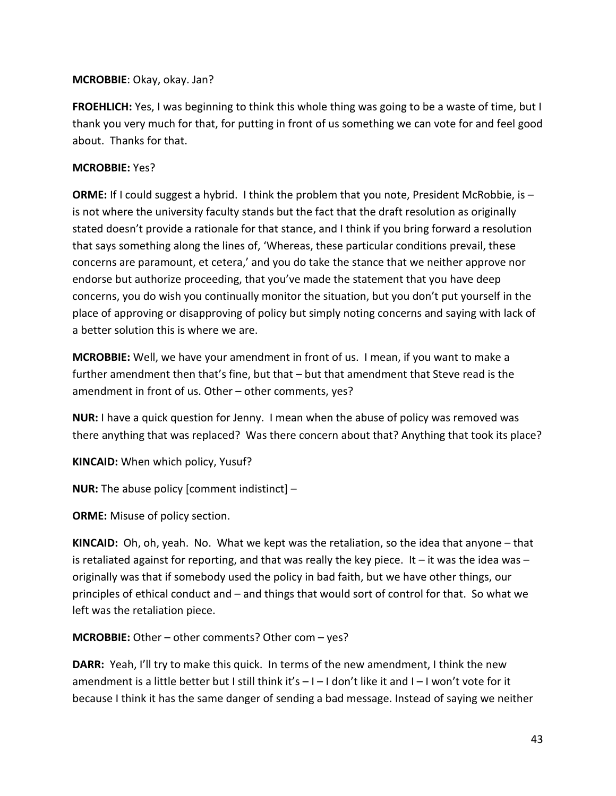### **MCROBBIE**: Okay, okay. Jan?

**FROEHLICH:** Yes, I was beginning to think this whole thing was going to be a waste of time, but I thank you very much for that, for putting in front of us something we can vote for and feel good about. Thanks for that.

### **MCROBBIE:** Yes?

**ORME:** If I could suggest a hybrid. I think the problem that you note, President McRobbie, is is not where the university faculty stands but the fact that the draft resolution as originally stated doesn't provide a rationale for that stance, and I think if you bring forward a resolution that says something along the lines of, 'Whereas, these particular conditions prevail, these concerns are paramount, et cetera,' and you do take the stance that we neither approve nor endorse but authorize proceeding, that you've made the statement that you have deep concerns, you do wish you continually monitor the situation, but you don't put yourself in the place of approving or disapproving of policy but simply noting concerns and saying with lack of a better solution this is where we are.

**MCROBBIE:** Well, we have your amendment in front of us. I mean, if you want to make a further amendment then that's fine, but that – but that amendment that Steve read is the amendment in front of us. Other – other comments, yes?

**NUR:** I have a quick question for Jenny. I mean when the abuse of policy was removed was there anything that was replaced? Was there concern about that? Anything that took its place?

**KINCAID:** When which policy, Yusuf?

**NUR:** The abuse policy [comment indistinct] –

**ORME:** Misuse of policy section.

**KINCAID:** Oh, oh, yeah. No. What we kept was the retaliation, so the idea that anyone – that is retaliated against for reporting, and that was really the key piece. It – it was the idea was  $$ originally was that if somebody used the policy in bad faith, but we have other things, our principles of ethical conduct and – and things that would sort of control for that. So what we left was the retaliation piece.

**MCROBBIE:** Other – other comments? Other com – yes?

**DARR:** Yeah, I'll try to make this quick. In terms of the new amendment, I think the new amendment is a little better but I still think it's  $-1$  – I don't like it and  $1$  – I won't vote for it because I think it has the same danger of sending a bad message. Instead of saying we neither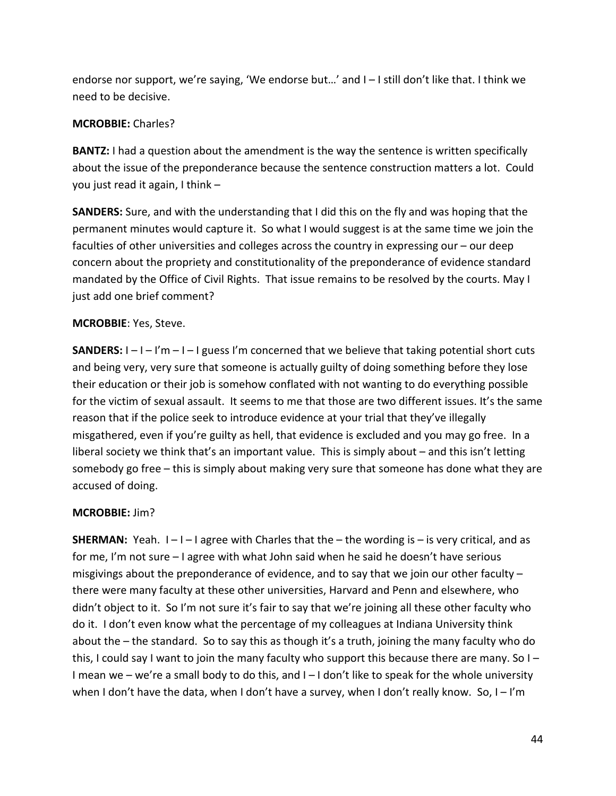endorse nor support, we're saying, 'We endorse but…' and I – I still don't like that. I think we need to be decisive.

### **MCROBBIE:** Charles?

**BANTZ:** I had a question about the amendment is the way the sentence is written specifically about the issue of the preponderance because the sentence construction matters a lot. Could you just read it again, I think –

**SANDERS:** Sure, and with the understanding that I did this on the fly and was hoping that the permanent minutes would capture it. So what I would suggest is at the same time we join the faculties of other universities and colleges across the country in expressing our – our deep concern about the propriety and constitutionality of the preponderance of evidence standard mandated by the Office of Civil Rights. That issue remains to be resolved by the courts. May I just add one brief comment?

### **MCROBBIE**: Yes, Steve.

**SANDERS:**  $I - I - I'm - I$  guess I'm concerned that we believe that taking potential short cuts and being very, very sure that someone is actually guilty of doing something before they lose their education or their job is somehow conflated with not wanting to do everything possible for the victim of sexual assault. It seems to me that those are two different issues. It's the same reason that if the police seek to introduce evidence at your trial that they've illegally misgathered, even if you're guilty as hell, that evidence is excluded and you may go free. In a liberal society we think that's an important value. This is simply about – and this isn't letting somebody go free – this is simply about making very sure that someone has done what they are accused of doing.

### **MCROBBIE:** Jim?

**SHERMAN:** Yeah.  $I - I - I$  agree with Charles that the – the wording is – is very critical, and as for me, I'm not sure – I agree with what John said when he said he doesn't have serious misgivings about the preponderance of evidence, and to say that we join our other faculty – there were many faculty at these other universities, Harvard and Penn and elsewhere, who didn't object to it. So I'm not sure it's fair to say that we're joining all these other faculty who do it. I don't even know what the percentage of my colleagues at Indiana University think about the – the standard. So to say this as though it's a truth, joining the many faculty who do this, I could say I want to join the many faculty who support this because there are many. So I – I mean we – we're a small body to do this, and I – I don't like to speak for the whole university when I don't have the data, when I don't have a survey, when I don't really know. So,  $I - I'm$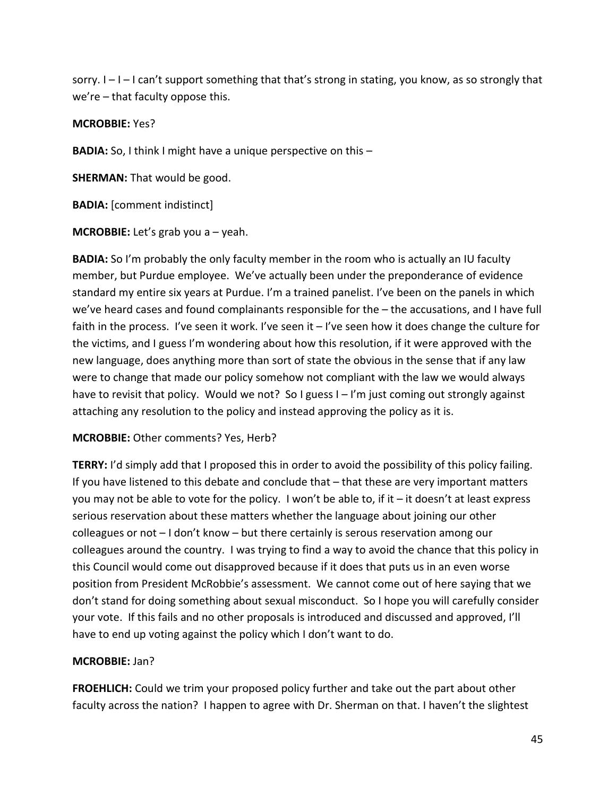sorry. I – I – I can't support something that that's strong in stating, you know, as so strongly that we're – that faculty oppose this.

### **MCROBBIE:** Yes?

**BADIA:** So, I think I might have a unique perspective on this –

**SHERMAN:** That would be good.

**BADIA:** [comment indistinct]

**MCROBBIE:** Let's grab you a – yeah.

**BADIA:** So I'm probably the only faculty member in the room who is actually an IU faculty member, but Purdue employee. We've actually been under the preponderance of evidence standard my entire six years at Purdue. I'm a trained panelist. I've been on the panels in which we've heard cases and found complainants responsible for the – the accusations, and I have full faith in the process. I've seen it work. I've seen it - I've seen how it does change the culture for the victims, and I guess I'm wondering about how this resolution, if it were approved with the new language, does anything more than sort of state the obvious in the sense that if any law were to change that made our policy somehow not compliant with the law we would always have to revisit that policy. Would we not? So I guess I - I'm just coming out strongly against attaching any resolution to the policy and instead approving the policy as it is.

## **MCROBBIE:** Other comments? Yes, Herb?

**TERRY:** I'd simply add that I proposed this in order to avoid the possibility of this policy failing. If you have listened to this debate and conclude that – that these are very important matters you may not be able to vote for the policy. I won't be able to, if it – it doesn't at least express serious reservation about these matters whether the language about joining our other colleagues or not – I don't know – but there certainly is serous reservation among our colleagues around the country. I was trying to find a way to avoid the chance that this policy in this Council would come out disapproved because if it does that puts us in an even worse position from President McRobbie's assessment. We cannot come out of here saying that we don't stand for doing something about sexual misconduct. So I hope you will carefully consider your vote. If this fails and no other proposals is introduced and discussed and approved, I'll have to end up voting against the policy which I don't want to do.

## **MCROBBIE:** Jan?

**FROEHLICH:** Could we trim your proposed policy further and take out the part about other faculty across the nation? I happen to agree with Dr. Sherman on that. I haven't the slightest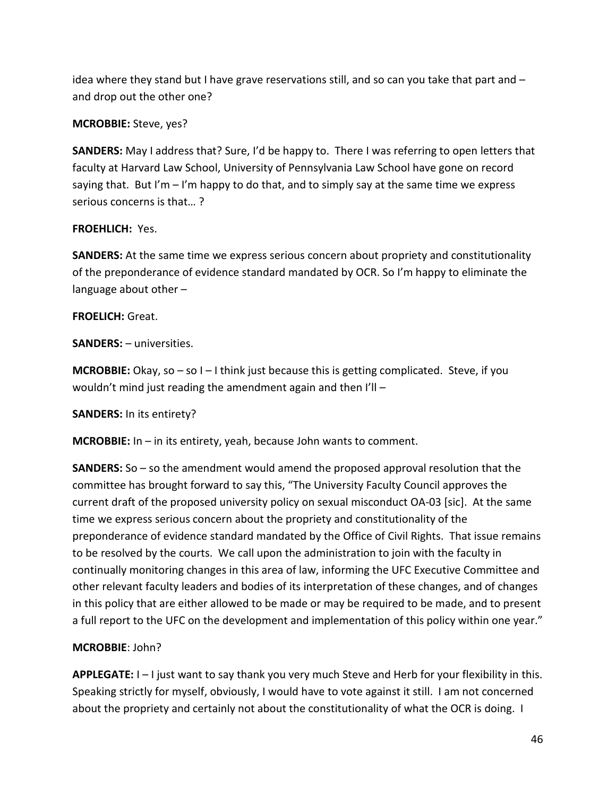idea where they stand but I have grave reservations still, and so can you take that part and – and drop out the other one?

## **MCROBBIE:** Steve, yes?

**SANDERS:** May I address that? Sure, I'd be happy to. There I was referring to open letters that faculty at Harvard Law School, University of Pennsylvania Law School have gone on record saying that. But I'm  $-i$ 'm happy to do that, and to simply say at the same time we express serious concerns is that… ?

# **FROEHLICH:** Yes.

**SANDERS:** At the same time we express serious concern about propriety and constitutionality of the preponderance of evidence standard mandated by OCR. So I'm happy to eliminate the language about other –

# **FROELICH:** Great.

**SANDERS:** – universities.

**MCROBBIE:** Okay, so – so I – I think just because this is getting complicated. Steve, if you wouldn't mind just reading the amendment again and then I'll –

## **SANDERS:** In its entirety?

**MCROBBIE:** In – in its entirety, yeah, because John wants to comment.

**SANDERS:** So – so the amendment would amend the proposed approval resolution that the committee has brought forward to say this, "The University Faculty Council approves the current draft of the proposed university policy on sexual misconduct OA-03 [sic]. At the same time we express serious concern about the propriety and constitutionality of the preponderance of evidence standard mandated by the Office of Civil Rights. That issue remains to be resolved by the courts. We call upon the administration to join with the faculty in continually monitoring changes in this area of law, informing the UFC Executive Committee and other relevant faculty leaders and bodies of its interpretation of these changes, and of changes in this policy that are either allowed to be made or may be required to be made, and to present a full report to the UFC on the development and implementation of this policy within one year."

# **MCROBBIE**: John?

**APPLEGATE:** I – I just want to say thank you very much Steve and Herb for your flexibility in this. Speaking strictly for myself, obviously, I would have to vote against it still. I am not concerned about the propriety and certainly not about the constitutionality of what the OCR is doing. I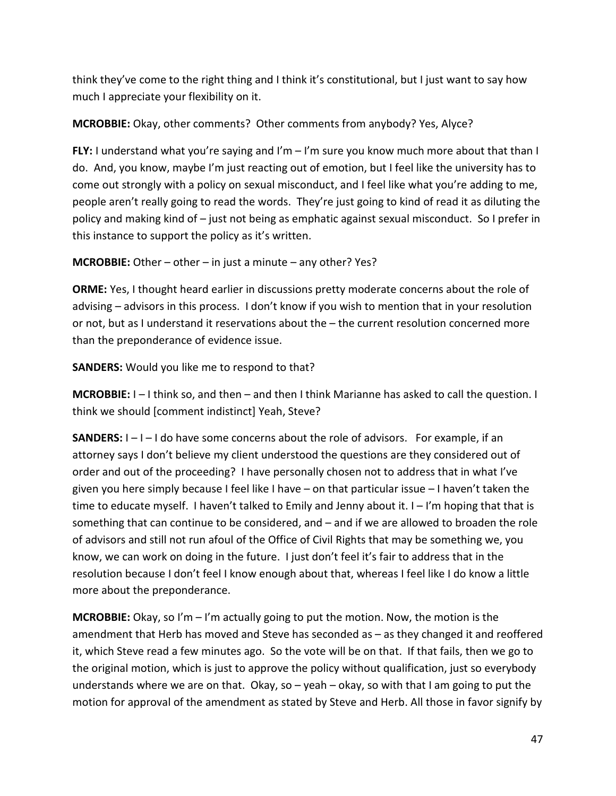think they've come to the right thing and I think it's constitutional, but I just want to say how much I appreciate your flexibility on it.

# **MCROBBIE:** Okay, other comments? Other comments from anybody? Yes, Alyce?

**FLY:** I understand what you're saying and I'm – I'm sure you know much more about that than I do. And, you know, maybe I'm just reacting out of emotion, but I feel like the university has to come out strongly with a policy on sexual misconduct, and I feel like what you're adding to me, people aren't really going to read the words. They're just going to kind of read it as diluting the policy and making kind of – just not being as emphatic against sexual misconduct. So I prefer in this instance to support the policy as it's written.

**MCROBBIE:** Other – other – in just a minute – any other? Yes?

**ORME:** Yes, I thought heard earlier in discussions pretty moderate concerns about the role of advising – advisors in this process. I don't know if you wish to mention that in your resolution or not, but as I understand it reservations about the – the current resolution concerned more than the preponderance of evidence issue.

**SANDERS:** Would you like me to respond to that?

**MCROBBIE:** I – I think so, and then – and then I think Marianne has asked to call the question. I think we should [comment indistinct] Yeah, Steve?

**SANDERS:**  $I - I - I$  do have some concerns about the role of advisors. For example, if an attorney says I don't believe my client understood the questions are they considered out of order and out of the proceeding? I have personally chosen not to address that in what I've given you here simply because I feel like I have – on that particular issue – I haven't taken the time to educate myself. I haven't talked to Emily and Jenny about it.  $I - I'm$  hoping that that is something that can continue to be considered, and – and if we are allowed to broaden the role of advisors and still not run afoul of the Office of Civil Rights that may be something we, you know, we can work on doing in the future. I just don't feel it's fair to address that in the resolution because I don't feel I know enough about that, whereas I feel like I do know a little more about the preponderance.

**MCROBBIE:** Okay, so I'm – I'm actually going to put the motion. Now, the motion is the amendment that Herb has moved and Steve has seconded as – as they changed it and reoffered it, which Steve read a few minutes ago. So the vote will be on that. If that fails, then we go to the original motion, which is just to approve the policy without qualification, just so everybody understands where we are on that. Okay, so – yeah – okay, so with that I am going to put the motion for approval of the amendment as stated by Steve and Herb. All those in favor signify by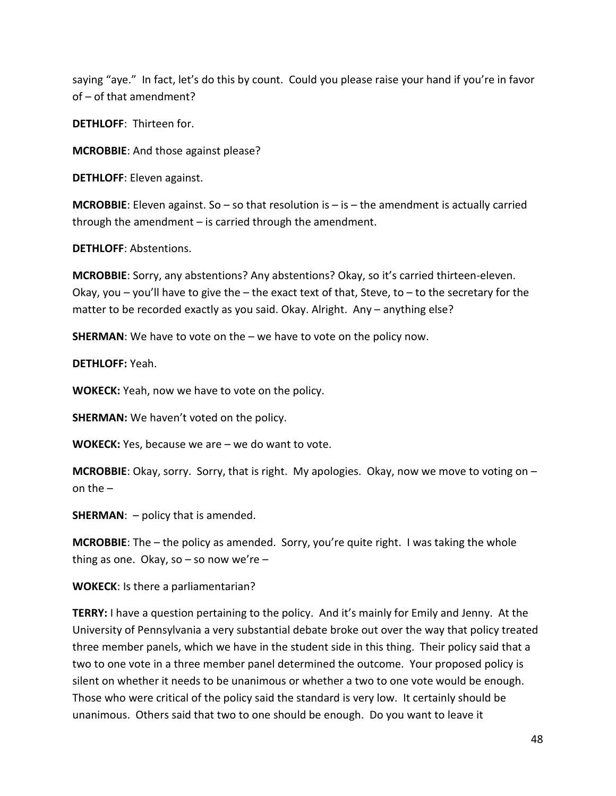saying "aye." In fact, let's do this by count. Could you please raise your hand if you're in favor of – of that amendment?

**DETHLOFF**: Thirteen for.

**MCROBBIE**: And those against please?

**DETHLOFF**: Eleven against.

**MCROBBIE:** Eleven against. So – so that resolution is – is – the amendment is actually carried through the amendment – is carried through the amendment.

**DETHLOFF**: Abstentions.

**MCROBBIE**: Sorry, any abstentions? Any abstentions? Okay, so it's carried thirteen-eleven. Okay, you – you'll have to give the – the exact text of that, Steve, to – to the secretary for the matter to be recorded exactly as you said. Okay. Alright. Any – anything else?

**SHERMAN**: We have to vote on the – we have to vote on the policy now.

**DETHLOFF:** Yeah.

**WOKECK:** Yeah, now we have to vote on the policy.

**SHERMAN:** We haven't voted on the policy.

**WOKECK:** Yes, because we are – we do want to vote.

**MCROBBIE**: Okay, sorry. Sorry, that is right. My apologies. Okay, now we move to voting on – on the  $-$ 

**SHERMAN:** – policy that is amended.

**MCROBBIE**: The – the policy as amended. Sorry, you're quite right. I was taking the whole thing as one. Okay, so  $-$  so now we're  $-$ 

**WOKECK**: Is there a parliamentarian?

**TERRY:** I have a question pertaining to the policy. And it's mainly for Emily and Jenny. At the University of Pennsylvania a very substantial debate broke out over the way that policy treated three member panels, which we have in the student side in this thing. Their policy said that a two to one vote in a three member panel determined the outcome. Your proposed policy is silent on whether it needs to be unanimous or whether a two to one vote would be enough. Those who were critical of the policy said the standard is very low. It certainly should be unanimous. Others said that two to one should be enough. Do you want to leave it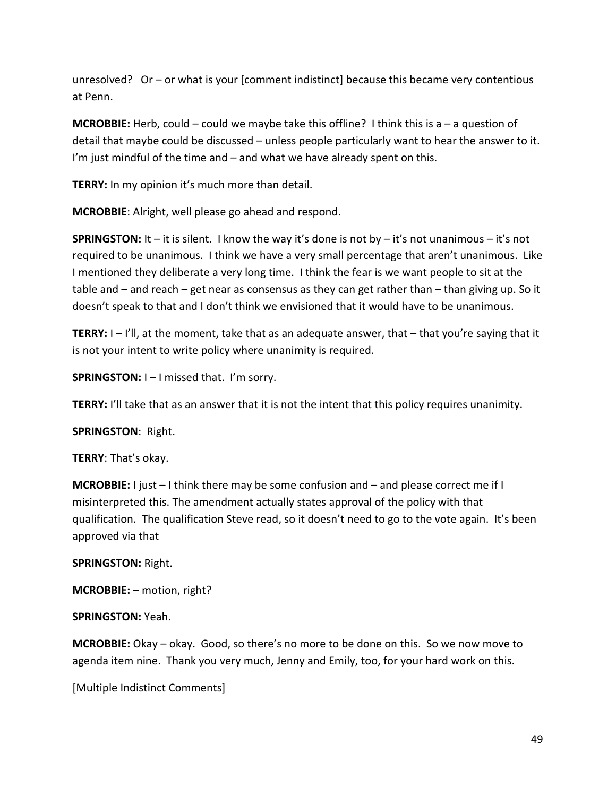unresolved? Or – or what is your [comment indistinct] because this became very contentious at Penn.

**MCROBBIE:** Herb, could – could we maybe take this offline? I think this is a – a question of detail that maybe could be discussed – unless people particularly want to hear the answer to it. I'm just mindful of the time and – and what we have already spent on this.

**TERRY:** In my opinion it's much more than detail.

**MCROBBIE**: Alright, well please go ahead and respond.

**SPRINGSTON:** It – it is silent. I know the way it's done is not by – it's not unanimous – it's not required to be unanimous. I think we have a very small percentage that aren't unanimous. Like I mentioned they deliberate a very long time. I think the fear is we want people to sit at the table and – and reach – get near as consensus as they can get rather than – than giving up. So it doesn't speak to that and I don't think we envisioned that it would have to be unanimous.

**TERRY:** I – I'll, at the moment, take that as an adequate answer, that – that you're saying that it is not your intent to write policy where unanimity is required.

**SPRINGSTON:** I – I missed that. I'm sorry.

**TERRY:** I'll take that as an answer that it is not the intent that this policy requires unanimity.

#### **SPRINGSTON**: Right.

**TERRY**: That's okay.

**MCROBBIE:** I just – I think there may be some confusion and – and please correct me if I misinterpreted this. The amendment actually states approval of the policy with that qualification. The qualification Steve read, so it doesn't need to go to the vote again. It's been approved via that

### **SPRINGSTON:** Right.

**MCROBBIE:** – motion, right?

**SPRINGSTON:** Yeah.

**MCROBBIE:** Okay – okay. Good, so there's no more to be done on this. So we now move to agenda item nine. Thank you very much, Jenny and Emily, too, for your hard work on this.

[Multiple Indistinct Comments]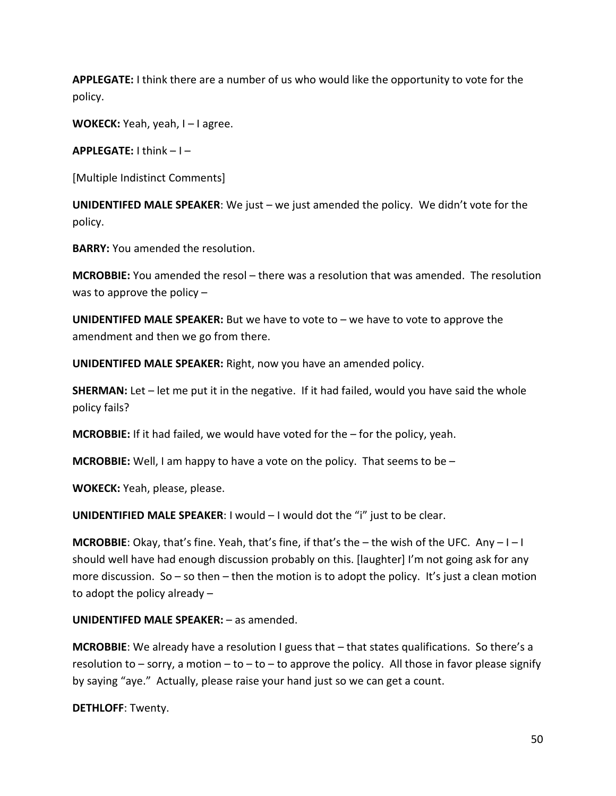**APPLEGATE:** I think there are a number of us who would like the opportunity to vote for the policy.

**WOKECK:** Yeah, yeah, I – I agree.

**APPLEGATE:** I think – I –

[Multiple Indistinct Comments]

**UNIDENTIFED MALE SPEAKER**: We just – we just amended the policy. We didn't vote for the policy.

**BARRY:** You amended the resolution.

**MCROBBIE:** You amended the resol – there was a resolution that was amended. The resolution was to approve the policy –

**UNIDENTIFED MALE SPEAKER:** But we have to vote to – we have to vote to approve the amendment and then we go from there.

**UNIDENTIFED MALE SPEAKER:** Right, now you have an amended policy.

**SHERMAN:** Let – let me put it in the negative. If it had failed, would you have said the whole policy fails?

**MCROBBIE:** If it had failed, we would have voted for the – for the policy, yeah.

**MCROBBIE:** Well, I am happy to have a vote on the policy. That seems to be –

**WOKECK:** Yeah, please, please.

**UNIDENTIFIED MALE SPEAKER**: I would – I would dot the "i" just to be clear.

**MCROBBIE**: Okay, that's fine. Yeah, that's fine, if that's the – the wish of the UFC. Any – I – I should well have had enough discussion probably on this. [laughter] I'm not going ask for any more discussion. So – so then – then the motion is to adopt the policy. It's just a clean motion to adopt the policy already –

**UNIDENTIFED MALE SPEAKER:** – as amended.

**MCROBBIE**: We already have a resolution I guess that – that states qualifications. So there's a resolution to – sorry, a motion – to – to – to approve the policy. All those in favor please signify by saying "aye." Actually, please raise your hand just so we can get a count.

**DETHLOFF**: Twenty.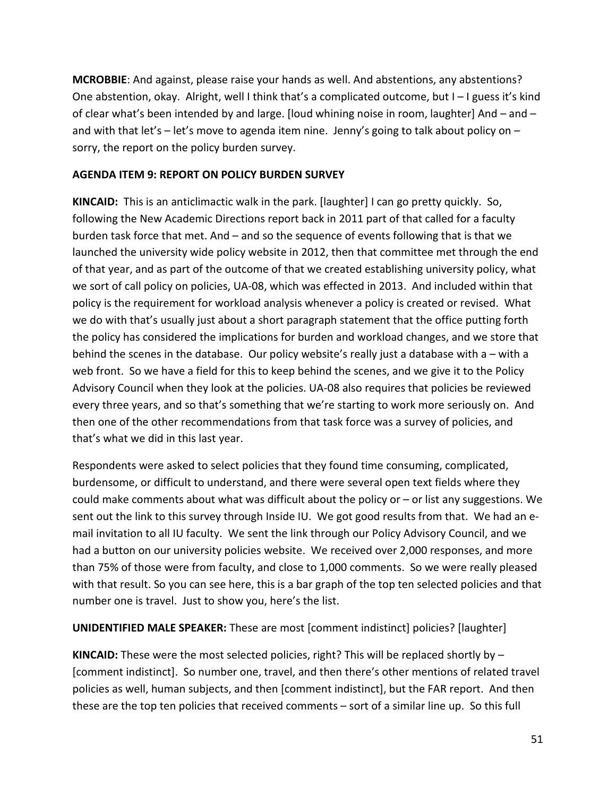**MCROBBIE**: And against, please raise your hands as well. And abstentions, any abstentions? One abstention, okay. Alright, well I think that's a complicated outcome, but I – I guess it's kind of clear what's been intended by and large. [loud whining noise in room, laughter] And – and – and with that let's – let's move to agenda item nine. Jenny's going to talk about policy on – sorry, the report on the policy burden survey.

### **AGENDA ITEM 9: REPORT ON POLICY BURDEN SURVEY**

**KINCAID:** This is an anticlimactic walk in the park. [laughter] I can go pretty quickly. So, following the New Academic Directions report back in 2011 part of that called for a faculty burden task force that met. And – and so the sequence of events following that is that we launched the university wide policy website in 2012, then that committee met through the end of that year, and as part of the outcome of that we created establishing university policy, what we sort of call policy on policies, UA-08, which was effected in 2013. And included within that policy is the requirement for workload analysis whenever a policy is created or revised. What we do with that's usually just about a short paragraph statement that the office putting forth the policy has considered the implications for burden and workload changes, and we store that behind the scenes in the database. Our policy website's really just a database with a – with a web front. So we have a field for this to keep behind the scenes, and we give it to the Policy Advisory Council when they look at the policies. UA-08 also requires that policies be reviewed every three years, and so that's something that we're starting to work more seriously on. And then one of the other recommendations from that task force was a survey of policies, and that's what we did in this last year.

Respondents were asked to select policies that they found time consuming, complicated, burdensome, or difficult to understand, and there were several open text fields where they could make comments about what was difficult about the policy or – or list any suggestions. We sent out the link to this survey through Inside IU. We got good results from that. We had an email invitation to all IU faculty. We sent the link through our Policy Advisory Council, and we had a button on our university policies website. We received over 2,000 responses, and more than 75% of those were from faculty, and close to 1,000 comments. So we were really pleased with that result. So you can see here, this is a bar graph of the top ten selected policies and that number one is travel. Just to show you, here's the list.

## **UNIDENTIFIED MALE SPEAKER:** These are most [comment indistinct] policies? [laughter]

**KINCAID:** These were the most selected policies, right? This will be replaced shortly by – [comment indistinct]. So number one, travel, and then there's other mentions of related travel policies as well, human subjects, and then [comment indistinct], but the FAR report. And then these are the top ten policies that received comments – sort of a similar line up. So this full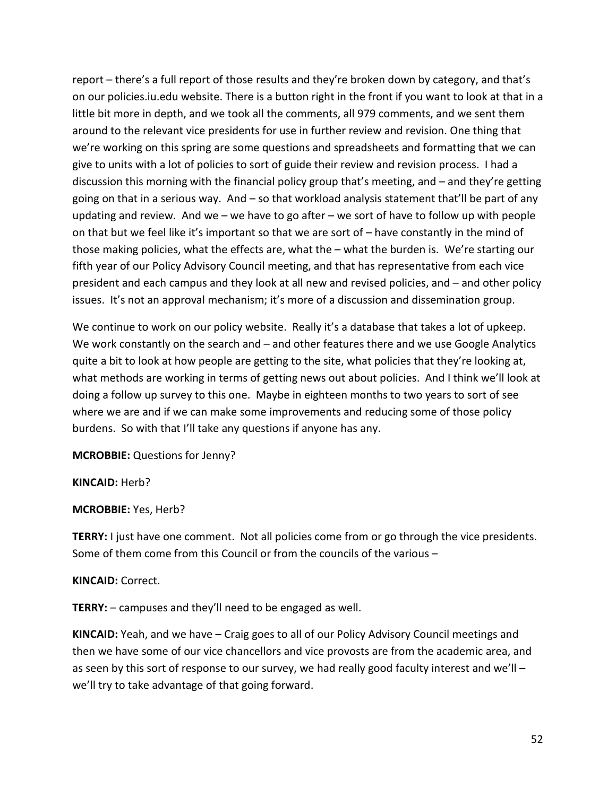report – there's a full report of those results and they're broken down by category, and that's on our policies.iu.edu website. There is a button right in the front if you want to look at that in a little bit more in depth, and we took all the comments, all 979 comments, and we sent them around to the relevant vice presidents for use in further review and revision. One thing that we're working on this spring are some questions and spreadsheets and formatting that we can give to units with a lot of policies to sort of guide their review and revision process. I had a discussion this morning with the financial policy group that's meeting, and – and they're getting going on that in a serious way. And – so that workload analysis statement that'll be part of any updating and review. And we – we have to go after – we sort of have to follow up with people on that but we feel like it's important so that we are sort of – have constantly in the mind of those making policies, what the effects are, what the – what the burden is. We're starting our fifth year of our Policy Advisory Council meeting, and that has representative from each vice president and each campus and they look at all new and revised policies, and – and other policy issues. It's not an approval mechanism; it's more of a discussion and dissemination group.

We continue to work on our policy website. Really it's a database that takes a lot of upkeep. We work constantly on the search and – and other features there and we use Google Analytics quite a bit to look at how people are getting to the site, what policies that they're looking at, what methods are working in terms of getting news out about policies. And I think we'll look at doing a follow up survey to this one. Maybe in eighteen months to two years to sort of see where we are and if we can make some improvements and reducing some of those policy burdens. So with that I'll take any questions if anyone has any.

**MCROBBIE:** Questions for Jenny?

**KINCAID:** Herb?

**MCROBBIE:** Yes, Herb?

**TERRY:** I just have one comment. Not all policies come from or go through the vice presidents. Some of them come from this Council or from the councils of the various –

## **KINCAID:** Correct.

**TERRY:** – campuses and they'll need to be engaged as well.

**KINCAID:** Yeah, and we have – Craig goes to all of our Policy Advisory Council meetings and then we have some of our vice chancellors and vice provosts are from the academic area, and as seen by this sort of response to our survey, we had really good faculty interest and we'll – we'll try to take advantage of that going forward.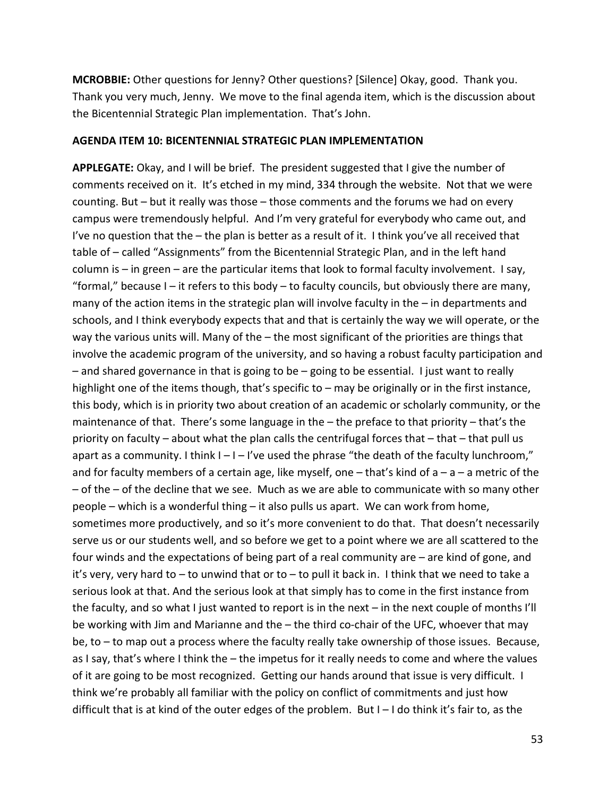**MCROBBIE:** Other questions for Jenny? Other questions? [Silence] Okay, good. Thank you. Thank you very much, Jenny. We move to the final agenda item, which is the discussion about the Bicentennial Strategic Plan implementation. That's John.

#### **AGENDA ITEM 10: BICENTENNIAL STRATEGIC PLAN IMPLEMENTATION**

**APPLEGATE:** Okay, and I will be brief. The president suggested that I give the number of comments received on it. It's etched in my mind, 334 through the website. Not that we were counting. But – but it really was those – those comments and the forums we had on every campus were tremendously helpful. And I'm very grateful for everybody who came out, and I've no question that the – the plan is better as a result of it. I think you've all received that table of – called "Assignments" from the Bicentennial Strategic Plan, and in the left hand column is – in green – are the particular items that look to formal faculty involvement. I say, "formal," because  $I - iI$  refers to this body  $-$  to faculty councils, but obviously there are many, many of the action items in the strategic plan will involve faculty in the – in departments and schools, and I think everybody expects that and that is certainly the way we will operate, or the way the various units will. Many of the – the most significant of the priorities are things that involve the academic program of the university, and so having a robust faculty participation and – and shared governance in that is going to be – going to be essential. I just want to really highlight one of the items though, that's specific to – may be originally or in the first instance, this body, which is in priority two about creation of an academic or scholarly community, or the maintenance of that. There's some language in the – the preface to that priority – that's the priority on faculty – about what the plan calls the centrifugal forces that – that – that pull us apart as a community. I think  $I - I - I'$  ve used the phrase "the death of the faculty lunchroom," and for faculty members of a certain age, like myself, one  $-$  that's kind of  $a - a - a$  metric of the – of the – of the decline that we see. Much as we are able to communicate with so many other people – which is a wonderful thing – it also pulls us apart. We can work from home, sometimes more productively, and so it's more convenient to do that. That doesn't necessarily serve us or our students well, and so before we get to a point where we are all scattered to the four winds and the expectations of being part of a real community are – are kind of gone, and it's very, very hard to – to unwind that or to – to pull it back in. I think that we need to take a serious look at that. And the serious look at that simply has to come in the first instance from the faculty, and so what I just wanted to report is in the next – in the next couple of months I'll be working with Jim and Marianne and the – the third co-chair of the UFC, whoever that may be, to – to map out a process where the faculty really take ownership of those issues. Because, as I say, that's where I think the – the impetus for it really needs to come and where the values of it are going to be most recognized. Getting our hands around that issue is very difficult. I think we're probably all familiar with the policy on conflict of commitments and just how difficult that is at kind of the outer edges of the problem. But  $I - I$  do think it's fair to, as the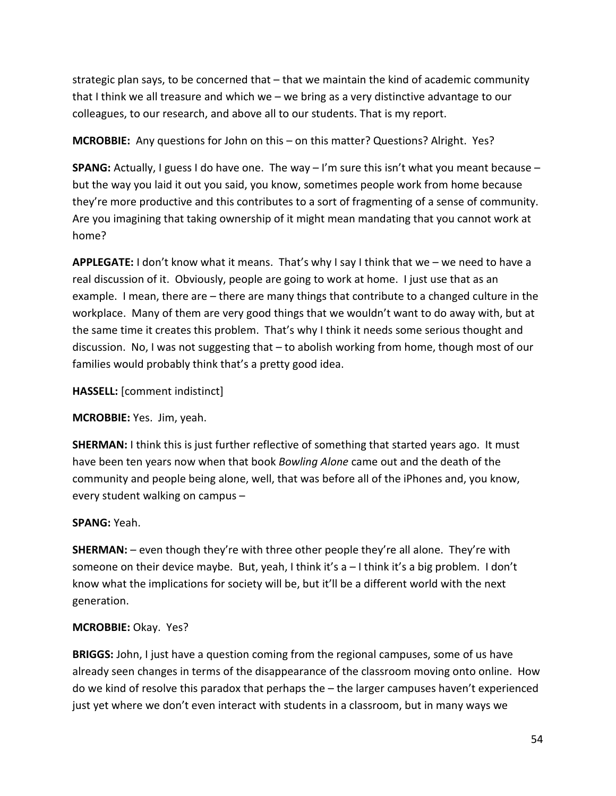strategic plan says, to be concerned that – that we maintain the kind of academic community that I think we all treasure and which we – we bring as a very distinctive advantage to our colleagues, to our research, and above all to our students. That is my report.

**MCROBBIE:** Any questions for John on this – on this matter? Questions? Alright. Yes?

**SPANG:** Actually, I guess I do have one. The way – I'm sure this isn't what you meant because – but the way you laid it out you said, you know, sometimes people work from home because they're more productive and this contributes to a sort of fragmenting of a sense of community. Are you imagining that taking ownership of it might mean mandating that you cannot work at home?

**APPLEGATE:** I don't know what it means. That's why I say I think that we – we need to have a real discussion of it. Obviously, people are going to work at home. I just use that as an example. I mean, there are – there are many things that contribute to a changed culture in the workplace. Many of them are very good things that we wouldn't want to do away with, but at the same time it creates this problem. That's why I think it needs some serious thought and discussion. No, I was not suggesting that – to abolish working from home, though most of our families would probably think that's a pretty good idea.

**HASSELL:** [comment indistinct]

**MCROBBIE:** Yes. Jim, yeah.

**SHERMAN:** I think this is just further reflective of something that started years ago. It must have been ten years now when that book *Bowling Alone* came out and the death of the community and people being alone, well, that was before all of the iPhones and, you know, every student walking on campus –

# **SPANG:** Yeah.

**SHERMAN:** – even though they're with three other people they're all alone. They're with someone on their device maybe. But, yeah, I think it's a – I think it's a big problem. I don't know what the implications for society will be, but it'll be a different world with the next generation.

# **MCROBBIE:** Okay. Yes?

**BRIGGS:** John, I just have a question coming from the regional campuses, some of us have already seen changes in terms of the disappearance of the classroom moving onto online. How do we kind of resolve this paradox that perhaps the – the larger campuses haven't experienced just yet where we don't even interact with students in a classroom, but in many ways we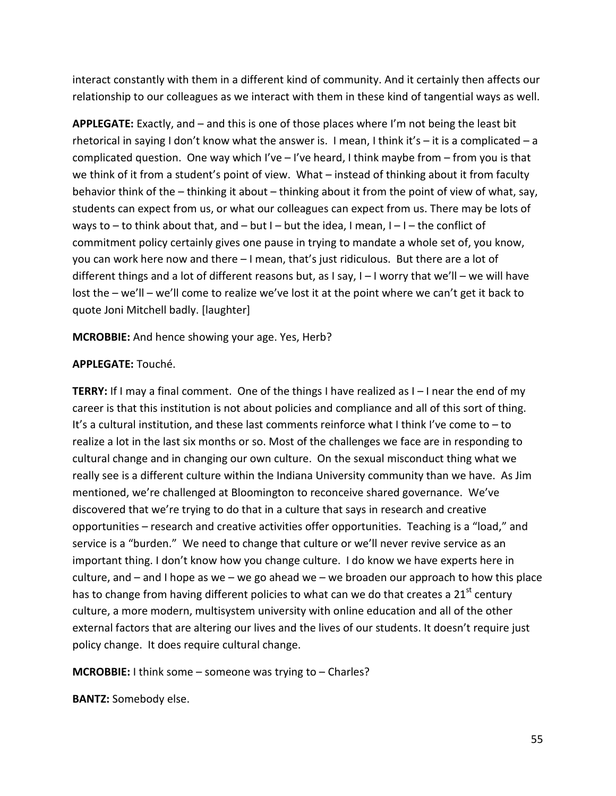interact constantly with them in a different kind of community. And it certainly then affects our relationship to our colleagues as we interact with them in these kind of tangential ways as well.

**APPLEGATE:** Exactly, and – and this is one of those places where I'm not being the least bit rhetorical in saying I don't know what the answer is. I mean, I think it's  $-$  it is a complicated  $-$  a complicated question. One way which I've – I've heard, I think maybe from – from you is that we think of it from a student's point of view. What – instead of thinking about it from faculty behavior think of the – thinking it about – thinking about it from the point of view of what, say, students can expect from us, or what our colleagues can expect from us. There may be lots of ways to  $-$  to think about that, and  $-$  but I  $-$  but the idea, I mean, I  $-$  I  $-$  the conflict of commitment policy certainly gives one pause in trying to mandate a whole set of, you know, you can work here now and there – I mean, that's just ridiculous. But there are a lot of different things and a lot of different reasons but, as I say, I – I worry that we'll – we will have lost the – we'll – we'll come to realize we've lost it at the point where we can't get it back to quote Joni Mitchell badly. [laughter]

**MCROBBIE:** And hence showing your age. Yes, Herb?

### **APPLEGATE:** Touché.

**TERRY:** If I may a final comment. One of the things I have realized as I – I near the end of my career is that this institution is not about policies and compliance and all of this sort of thing. It's a cultural institution, and these last comments reinforce what I think I've come to – to realize a lot in the last six months or so. Most of the challenges we face are in responding to cultural change and in changing our own culture. On the sexual misconduct thing what we really see is a different culture within the Indiana University community than we have. As Jim mentioned, we're challenged at Bloomington to reconceive shared governance. We've discovered that we're trying to do that in a culture that says in research and creative opportunities – research and creative activities offer opportunities. Teaching is a "load," and service is a "burden." We need to change that culture or we'll never revive service as an important thing. I don't know how you change culture. I do know we have experts here in culture, and  $-$  and I hope as we  $-$  we go ahead we  $-$  we broaden our approach to how this place has to change from having different policies to what can we do that creates a 21<sup>st</sup> century culture, a more modern, multisystem university with online education and all of the other external factors that are altering our lives and the lives of our students. It doesn't require just policy change. It does require cultural change.

**MCROBBIE:** I think some – someone was trying to – Charles?

**BANTZ:** Somebody else.